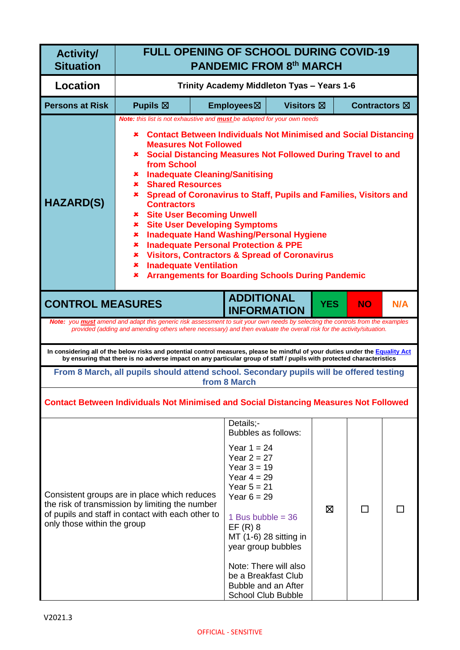| <b>Activity/</b><br><b>Situation</b>                                                                                                                                                                                                          | <b>FULL OPENING OF SCHOOL DURING COVID-19</b><br><b>PANDEMIC FROM 8th MARCH</b>                                                                                                                                                                                                                                                                                                                                                                                                                                                                                                                                                                                                                                                                                                                                                                                                        |  |                                                                                                                                                                                                                                                                                               |                                            |   |                         |  |
|-----------------------------------------------------------------------------------------------------------------------------------------------------------------------------------------------------------------------------------------------|----------------------------------------------------------------------------------------------------------------------------------------------------------------------------------------------------------------------------------------------------------------------------------------------------------------------------------------------------------------------------------------------------------------------------------------------------------------------------------------------------------------------------------------------------------------------------------------------------------------------------------------------------------------------------------------------------------------------------------------------------------------------------------------------------------------------------------------------------------------------------------------|--|-----------------------------------------------------------------------------------------------------------------------------------------------------------------------------------------------------------------------------------------------------------------------------------------------|--------------------------------------------|---|-------------------------|--|
| <b>Location</b>                                                                                                                                                                                                                               |                                                                                                                                                                                                                                                                                                                                                                                                                                                                                                                                                                                                                                                                                                                                                                                                                                                                                        |  |                                                                                                                                                                                                                                                                                               | Trinity Academy Middleton Tyas - Years 1-6 |   |                         |  |
| <b>Persons at Risk</b>                                                                                                                                                                                                                        | Pupils $\boxtimes$                                                                                                                                                                                                                                                                                                                                                                                                                                                                                                                                                                                                                                                                                                                                                                                                                                                                     |  | Employees⊠                                                                                                                                                                                                                                                                                    | <b>Visitors</b> ⊠                          |   | Contractors $\boxtimes$ |  |
| <b>HAZARD(S)</b>                                                                                                                                                                                                                              | Note: this list is not exhaustive and <b>must</b> be adapted for your own needs<br><b>Contact Between Individuals Not Minimised and Social Distancing</b><br>×<br><b>Measures Not Followed</b><br><b>* Social Distancing Measures Not Followed During Travel to and</b><br>from School<br><b>Inadequate Cleaning/Sanitising</b><br>$\mathbf x$<br><b>Shared Resources</b><br>$\mathbf x$ .<br>Spread of Coronavirus to Staff, Pupils and Families, Visitors and<br>x.<br><b>Contractors</b><br><b>*</b> Site User Becoming Unwell<br><b>Site User Developing Symptoms</b><br>$\pmb{\times}$<br><b>Inadequate Hand Washing/Personal Hygiene</b><br>×.<br><b>Inadequate Personal Protection &amp; PPE</b><br>×.<br><b>Visitors, Contractors &amp; Spread of Coronavirus</b><br>x.<br><b>Inadequate Ventilation</b><br>x<br><b>Arrangements for Boarding Schools During Pandemic</b><br>× |  |                                                                                                                                                                                                                                                                                               |                                            |   |                         |  |
| <b>ADDITIONAL</b><br><b>YES</b><br><b>CONTROL MEASURES</b><br><b>NO</b><br>N/A<br><b>INFORMATION</b><br>Note: you <b>must</b> amend and adapt this generic risk assessment to suit your own needs by selecting the controls from the examples |                                                                                                                                                                                                                                                                                                                                                                                                                                                                                                                                                                                                                                                                                                                                                                                                                                                                                        |  |                                                                                                                                                                                                                                                                                               |                                            |   |                         |  |
|                                                                                                                                                                                                                                               | provided (adding and amending others where necessary) and then evaluate the overall risk for the activity/situation.                                                                                                                                                                                                                                                                                                                                                                                                                                                                                                                                                                                                                                                                                                                                                                   |  |                                                                                                                                                                                                                                                                                               |                                            |   |                         |  |
|                                                                                                                                                                                                                                               | In considering all of the below risks and potential control measures, please be mindful of your duties under the Equality Act<br>by ensuring that there is no adverse impact on any particular group of staff / pupils with protected characteristics                                                                                                                                                                                                                                                                                                                                                                                                                                                                                                                                                                                                                                  |  |                                                                                                                                                                                                                                                                                               |                                            |   |                         |  |
|                                                                                                                                                                                                                                               | From 8 March, all pupils should attend school. Secondary pupils will be offered testing                                                                                                                                                                                                                                                                                                                                                                                                                                                                                                                                                                                                                                                                                                                                                                                                |  | from 8 March                                                                                                                                                                                                                                                                                  |                                            |   |                         |  |
|                                                                                                                                                                                                                                               | <b>Contact Between Individuals Not Minimised and Social Distancing Measures Not Followed</b>                                                                                                                                                                                                                                                                                                                                                                                                                                                                                                                                                                                                                                                                                                                                                                                           |  |                                                                                                                                                                                                                                                                                               |                                            |   |                         |  |
| only those within the group                                                                                                                                                                                                                   | Consistent groups are in place which reduces<br>the risk of transmission by limiting the number<br>of pupils and staff in contact with each other to                                                                                                                                                                                                                                                                                                                                                                                                                                                                                                                                                                                                                                                                                                                                   |  | Details;-<br>Bubbles as follows:<br>Year $1 = 24$<br>Year $2 = 27$<br>Year $3 = 19$<br>Year $4 = 29$<br>Year $5 = 21$<br>Year $6 = 29$<br>1 Bus bubble = $36$<br>$EF(R)$ 8<br>year group bubbles<br>Note: There will also<br>be a Breakfast Club<br>Bubble and an After<br>School Club Bubble | MT (1-6) 28 sitting in                     | ⊠ | $\mathsf{L}$            |  |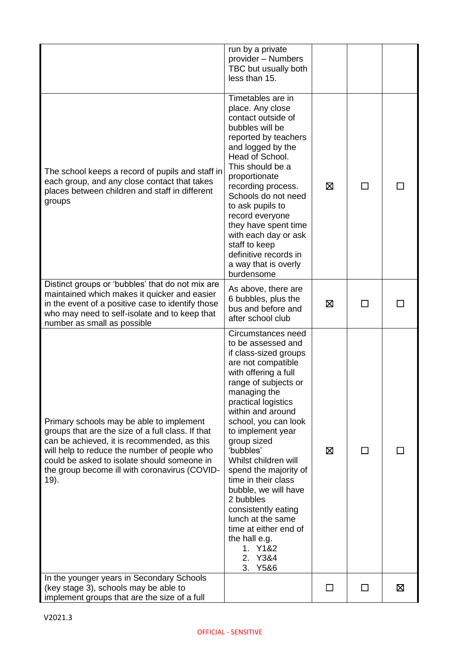|                                                                                                                                                                                                                                                                                                      | run by a private<br>provider - Numbers<br>TBC but usually both<br>less than 15.                                                                                                                                                                                                                                                                                                                                                                                                                                     |   |              |   |
|------------------------------------------------------------------------------------------------------------------------------------------------------------------------------------------------------------------------------------------------------------------------------------------------------|---------------------------------------------------------------------------------------------------------------------------------------------------------------------------------------------------------------------------------------------------------------------------------------------------------------------------------------------------------------------------------------------------------------------------------------------------------------------------------------------------------------------|---|--------------|---|
| The school keeps a record of pupils and staff in<br>each group, and any close contact that takes<br>places between children and staff in different<br>groups                                                                                                                                         | Timetables are in<br>place. Any close<br>contact outside of<br>bubbles will be<br>reported by teachers<br>and logged by the<br>Head of School.<br>This should be a<br>proportionate<br>recording process.<br>Schools do not need<br>to ask pupils to<br>record everyone<br>they have spent time<br>with each day or ask<br>staff to keep<br>definitive records in<br>a way that is overly<br>burdensome                                                                                                             | ⊠ |              |   |
| Distinct groups or 'bubbles' that do not mix are<br>maintained which makes it quicker and easier<br>in the event of a positive case to identify those<br>who may need to self-isolate and to keep that<br>number as small as possible                                                                | As above, there are<br>6 bubbles, plus the<br>bus and before and<br>after school club                                                                                                                                                                                                                                                                                                                                                                                                                               | ⊠ |              |   |
| Primary schools may be able to implement<br>groups that are the size of a full class. If that<br>can be achieved, it is recommended, as this<br>will help to reduce the number of people who<br>could be asked to isolate should someone in<br>the group become ill with coronavirus (COVID-<br>19). | Circumstances need<br>to be assessed and<br>if class-sized groups<br>are not compatible<br>with offering a full<br>range of subjects or<br>managing the<br>practical logistics<br>within and around<br>school, you can look<br>to implement year<br>group sized<br>'bubbles'<br>Whilst children will<br>spend the majority of<br>time in their class<br>bubble, we will have<br>2 bubbles<br>consistently eating<br>lunch at the same<br>time at either end of<br>the hall e.g.<br>1. Y1&2<br>2. Y3&4<br>Y5&6<br>3. | ⊠ | $\mathsf{L}$ |   |
| In the younger years in Secondary Schools<br>(key stage 3), schools may be able to<br>implement groups that are the size of a full                                                                                                                                                                   |                                                                                                                                                                                                                                                                                                                                                                                                                                                                                                                     |   |              | 区 |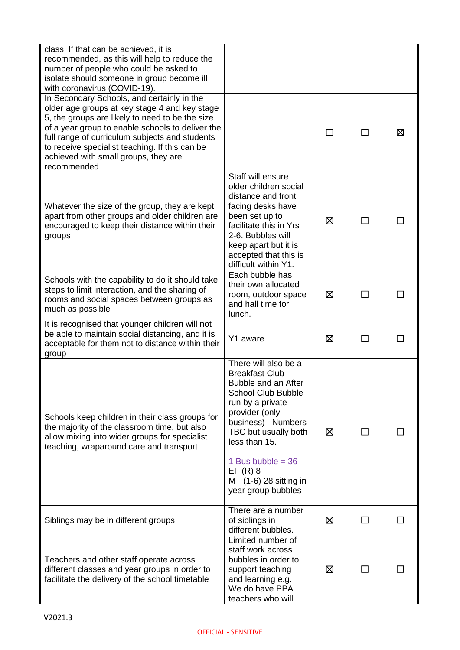| class. If that can be achieved, it is<br>recommended, as this will help to reduce the<br>number of people who could be asked to<br>isolate should someone in group become ill<br>with coronavirus (COVID-19).                                                                                                                                                 |                                                                                                                                                                                                                                                                                            |   |               |   |
|---------------------------------------------------------------------------------------------------------------------------------------------------------------------------------------------------------------------------------------------------------------------------------------------------------------------------------------------------------------|--------------------------------------------------------------------------------------------------------------------------------------------------------------------------------------------------------------------------------------------------------------------------------------------|---|---------------|---|
| In Secondary Schools, and certainly in the<br>older age groups at key stage 4 and key stage<br>5, the groups are likely to need to be the size<br>of a year group to enable schools to deliver the<br>full range of curriculum subjects and students<br>to receive specialist teaching. If this can be<br>achieved with small groups, they are<br>recommended |                                                                                                                                                                                                                                                                                            |   | ΙI            | ⊠ |
| Whatever the size of the group, they are kept<br>apart from other groups and older children are<br>encouraged to keep their distance within their<br>groups                                                                                                                                                                                                   | Staff will ensure<br>older children social<br>distance and front<br>facing desks have<br>been set up to<br>facilitate this in Yrs<br>2-6. Bubbles will<br>keep apart but it is<br>accepted that this is<br>difficult within Y1.                                                            | ⊠ | ΙI            |   |
| Schools with the capability to do it should take<br>steps to limit interaction, and the sharing of<br>rooms and social spaces between groups as<br>much as possible                                                                                                                                                                                           | Each bubble has<br>their own allocated<br>room, outdoor space<br>and hall time for<br>lunch.                                                                                                                                                                                               | ⊠ | $\mathcal{L}$ |   |
| It is recognised that younger children will not<br>be able to maintain social distancing, and it is<br>acceptable for them not to distance within their<br>group                                                                                                                                                                                              | Y1 aware                                                                                                                                                                                                                                                                                   | ⊠ |               |   |
| Schools keep children in their class groups for<br>the majority of the classroom time, but also<br>allow mixing into wider groups for specialist<br>teaching, wraparound care and transport                                                                                                                                                                   | There will also be a<br><b>Breakfast Club</b><br>Bubble and an After<br><b>School Club Bubble</b><br>run by a private<br>provider (only<br>business)- Numbers<br>TBC but usually both<br>less than 15.<br>1 Bus bubble = $36$<br>$EF(R)$ 8<br>MT (1-6) 28 sitting in<br>year group bubbles | 区 | ΙI            |   |
| Siblings may be in different groups                                                                                                                                                                                                                                                                                                                           | There are a number<br>of siblings in<br>different bubbles.                                                                                                                                                                                                                                 | ⊠ | П             |   |
| Teachers and other staff operate across<br>different classes and year groups in order to<br>facilitate the delivery of the school timetable                                                                                                                                                                                                                   | Limited number of<br>staff work across<br>bubbles in order to<br>support teaching<br>and learning e.g.<br>We do have PPA<br>teachers who will                                                                                                                                              | ⊠ | $\Box$        |   |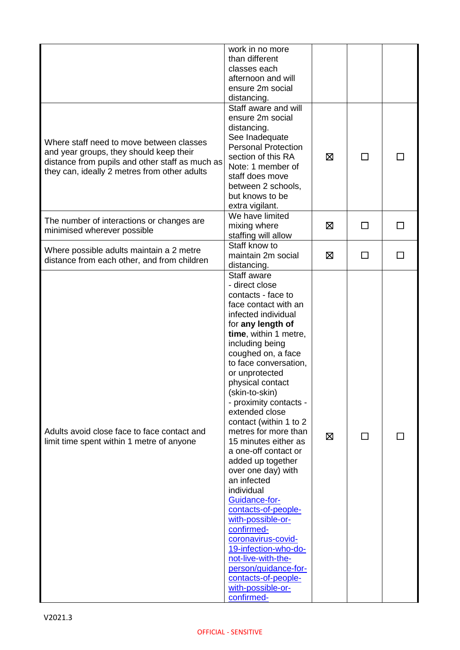| Where staff need to move between classes<br>and year groups, they should keep their<br>distance from pupils and other staff as much as<br>they can, ideally 2 metres from other adults<br>The number of interactions or changes are<br>minimised wherever possible<br>Where possible adults maintain a 2 metre<br>distance from each other, and from children | ensure 2m social<br>distancing.<br>See Inadequate<br><b>Personal Protection</b><br>section of this RA<br>Note: 1 member of<br>staff does move<br>between 2 schools,<br>but knows to be<br>extra vigilant.<br>We have limited<br>mixing where<br>staffing will allow<br>Staff know to<br>maintain 2m social<br>distancing.<br>Staff aware<br>- direct close<br>contacts - face to                                                                                                                                                                                                                                                                                           | X<br>⊠<br>⊠ | $\mathsf{L}$<br>П |  |
|---------------------------------------------------------------------------------------------------------------------------------------------------------------------------------------------------------------------------------------------------------------------------------------------------------------------------------------------------------------|----------------------------------------------------------------------------------------------------------------------------------------------------------------------------------------------------------------------------------------------------------------------------------------------------------------------------------------------------------------------------------------------------------------------------------------------------------------------------------------------------------------------------------------------------------------------------------------------------------------------------------------------------------------------------|-------------|-------------------|--|
| Adults avoid close face to face contact and<br>limit time spent within 1 metre of anyone                                                                                                                                                                                                                                                                      | face contact with an<br>infected individual<br>for any length of<br>time, within 1 metre,<br>including being<br>coughed on, a face<br>to face conversation,<br>or unprotected<br>physical contact<br>(skin-to-skin)<br>- proximity contacts -<br>extended close<br>contact (within 1 to 2<br>metres for more than<br>15 minutes either as<br>a one-off contact or<br>added up together<br>over one day) with<br>an infected<br>individual<br>Guidance-for-<br>contacts-of-people-<br>with-possible-or-<br>confirmed-<br>coronavirus-covid-<br>19-infection-who-do-<br>not-live-with-the-<br>person/guidance-for-<br>contacts-of-people-<br>with-possible-or-<br>confirmed- | ⊠           |                   |  |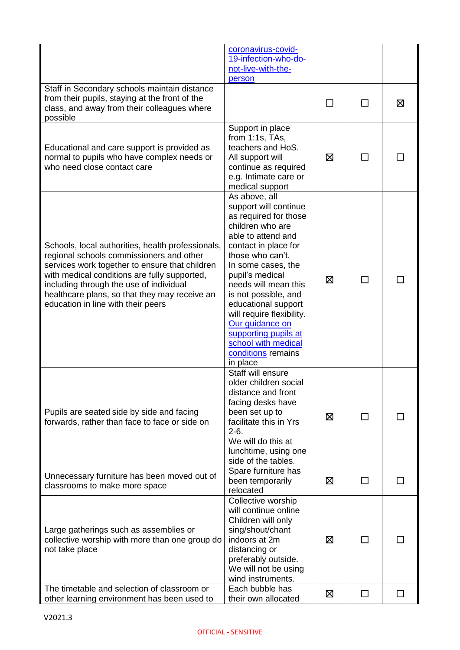|                                                                                                                                                                                                                                                                                                                                   | coronavirus-covid-<br>19-infection-who-do-<br>not-live-with-the-<br>person                                                                                                                                                                                                                                                                                                                             |   |              |    |
|-----------------------------------------------------------------------------------------------------------------------------------------------------------------------------------------------------------------------------------------------------------------------------------------------------------------------------------|--------------------------------------------------------------------------------------------------------------------------------------------------------------------------------------------------------------------------------------------------------------------------------------------------------------------------------------------------------------------------------------------------------|---|--------------|----|
| Staff in Secondary schools maintain distance<br>from their pupils, staying at the front of the<br>class, and away from their colleagues where<br>possible                                                                                                                                                                         |                                                                                                                                                                                                                                                                                                                                                                                                        | П | $\mathbf{L}$ | ⊠  |
| Educational and care support is provided as<br>normal to pupils who have complex needs or<br>who need close contact care                                                                                                                                                                                                          | Support in place<br>from $1:1s$ , TAs,<br>teachers and HoS.<br>All support will<br>continue as required<br>e.g. Intimate care or<br>medical support                                                                                                                                                                                                                                                    | X | ΙI           |    |
| Schools, local authorities, health professionals,<br>regional schools commissioners and other<br>services work together to ensure that children<br>with medical conditions are fully supported,<br>including through the use of individual<br>healthcare plans, so that they may receive an<br>education in line with their peers | As above, all<br>support will continue<br>as required for those<br>children who are<br>able to attend and<br>contact in place for<br>those who can't.<br>In some cases, the<br>pupil's medical<br>needs will mean this<br>is not possible, and<br>educational support<br>will require flexibility.<br>Our guidance on<br>supporting pupils at<br>school with medical<br>conditions remains<br>in place | ⊠ | ΙI           |    |
| Pupils are seated side by side and facing<br>forwards, rather than face to face or side on                                                                                                                                                                                                                                        | Staff will ensure<br>older children social<br>distance and front<br>facing desks have<br>been set up to<br>facilitate this in Yrs<br>$2-6.$<br>We will do this at<br>lunchtime, using one<br>side of the tables.                                                                                                                                                                                       | ⊠ | $\mathbf{r}$ |    |
| Unnecessary furniture has been moved out of<br>classrooms to make more space                                                                                                                                                                                                                                                      | Spare furniture has<br>been temporarily<br>relocated                                                                                                                                                                                                                                                                                                                                                   | ⊠ | □            | ΓI |
| Large gatherings such as assemblies or<br>collective worship with more than one group do<br>not take place                                                                                                                                                                                                                        | Collective worship<br>will continue online<br>Children will only<br>sing/shout/chant<br>indoors at 2m<br>distancing or<br>preferably outside.<br>We will not be using<br>wind instruments.                                                                                                                                                                                                             | ⊠ | П            |    |
| The timetable and selection of classroom or<br>other learning environment has been used to                                                                                                                                                                                                                                        | Each bubble has<br>their own allocated                                                                                                                                                                                                                                                                                                                                                                 | ⊠ | ΙI           |    |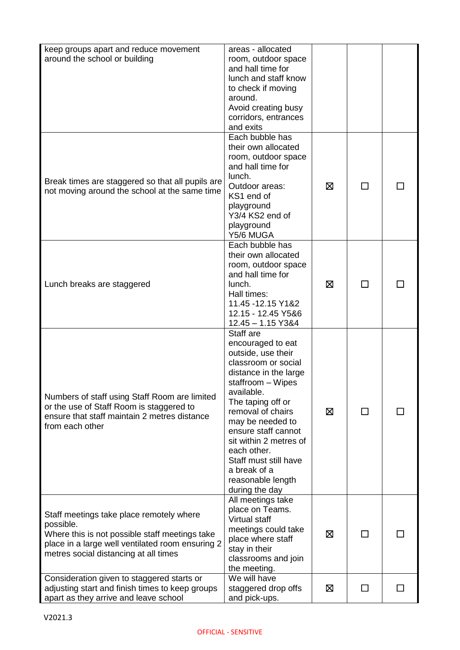| keep groups apart and reduce movement<br>around the school or building                                                                                                                               | areas - allocated<br>room, outdoor space<br>and hall time for<br>lunch and staff know<br>to check if moving<br>around.<br>Avoid creating busy<br>corridors, entrances<br>and exits                                                                                                                                                                    |   |    |  |
|------------------------------------------------------------------------------------------------------------------------------------------------------------------------------------------------------|-------------------------------------------------------------------------------------------------------------------------------------------------------------------------------------------------------------------------------------------------------------------------------------------------------------------------------------------------------|---|----|--|
| Break times are staggered so that all pupils are<br>not moving around the school at the same time                                                                                                    | Each bubble has<br>their own allocated<br>room, outdoor space<br>and hall time for<br>lunch.<br>Outdoor areas:<br>KS1 end of<br>playground<br>Y3/4 KS2 end of<br>playground<br>Y5/6 MUGA                                                                                                                                                              | ⊠ | П  |  |
| Lunch breaks are staggered                                                                                                                                                                           | Each bubble has<br>their own allocated<br>room, outdoor space<br>and hall time for<br>lunch.<br>Hall times:<br>11.45 - 12.15 Y1&2<br>12.15 - 12.45 Y5&6<br>$12.45 - 1.15$ Y3&4                                                                                                                                                                        | ⊠ | П  |  |
| Numbers of staff using Staff Room are limited<br>or the use of Staff Room is staggered to<br>ensure that staff maintain 2 metres distance<br>from each other                                         | Staff are<br>encouraged to eat<br>outside, use their<br>classroom or social<br>distance in the large<br>staffroom - Wipes<br>available.<br>The taping off or<br>removal of chairs<br>may be needed to<br>ensure staff cannot<br>sit within 2 metres of<br>each other.<br>Staff must still have<br>a break of a<br>reasonable length<br>during the day | 区 | П  |  |
| Staff meetings take place remotely where<br>possible.<br>Where this is not possible staff meetings take<br>place in a large well ventilated room ensuring 2<br>metres social distancing at all times | All meetings take<br>place on Teams.<br>Virtual staff<br>meetings could take<br>place where staff<br>stay in their<br>classrooms and join<br>the meeting.                                                                                                                                                                                             | ⊠ | П  |  |
| Consideration given to staggered starts or<br>adjusting start and finish times to keep groups<br>apart as they arrive and leave school                                                               | We will have<br>staggered drop offs<br>and pick-ups.                                                                                                                                                                                                                                                                                                  | ⊠ | ΙI |  |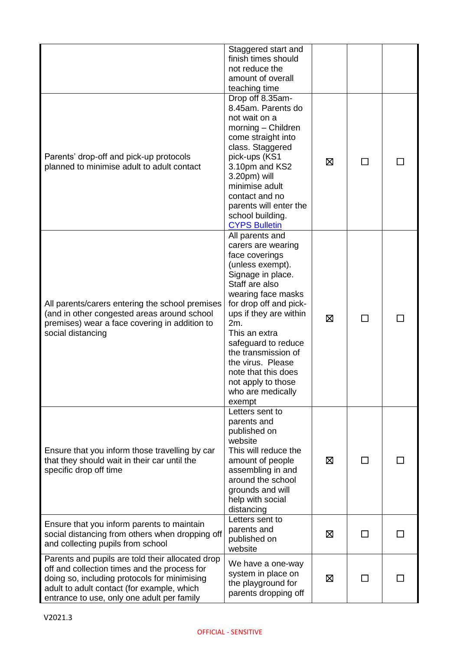|                                                                                                                                                                                                                                              | Staggered start and<br>finish times should<br>not reduce the<br>amount of overall<br>teaching time                                                                                                                                                                                                                                                                  |   |              |  |
|----------------------------------------------------------------------------------------------------------------------------------------------------------------------------------------------------------------------------------------------|---------------------------------------------------------------------------------------------------------------------------------------------------------------------------------------------------------------------------------------------------------------------------------------------------------------------------------------------------------------------|---|--------------|--|
| Parents' drop-off and pick-up protocols<br>planned to minimise adult to adult contact                                                                                                                                                        | Drop off 8.35am-<br>8.45am. Parents do<br>not wait on a<br>morning - Children<br>come straight into<br>class. Staggered<br>pick-ups (KS1<br>3.10pm and KS2<br>3.20pm) will<br>minimise adult<br>contact and no<br>parents will enter the<br>school building.<br><b>CYPS Bulletin</b>                                                                                | 区 | $\mathsf{L}$ |  |
| All parents/carers entering the school premises<br>(and in other congested areas around school<br>premises) wear a face covering in addition to<br>social distancing                                                                         | All parents and<br>carers are wearing<br>face coverings<br>(unless exempt).<br>Signage in place.<br>Staff are also<br>wearing face masks<br>for drop off and pick-<br>ups if they are within<br>2m.<br>This an extra<br>safeguard to reduce<br>the transmission of<br>the virus. Please<br>note that this does<br>not apply to those<br>who are medically<br>exempt | X | $\Box$       |  |
| Ensure that you inform those travelling by car<br>that they should wait in their car until the<br>specific drop off time                                                                                                                     | Letters sent to<br>parents and<br>published on<br>website<br>This will reduce the<br>amount of people<br>assembling in and<br>around the school<br>grounds and will<br>help with social<br>distancing                                                                                                                                                               | ⊠ | $\mathsf{L}$ |  |
| Ensure that you inform parents to maintain<br>social distancing from others when dropping off<br>and collecting pupils from school                                                                                                           | Letters sent to<br>parents and<br>published on<br>website                                                                                                                                                                                                                                                                                                           | ⊠ | П            |  |
| Parents and pupils are told their allocated drop<br>off and collection times and the process for<br>doing so, including protocols for minimising<br>adult to adult contact (for example, which<br>entrance to use, only one adult per family | We have a one-way<br>system in place on<br>the playground for<br>parents dropping off                                                                                                                                                                                                                                                                               | ⊠ | $\Box$       |  |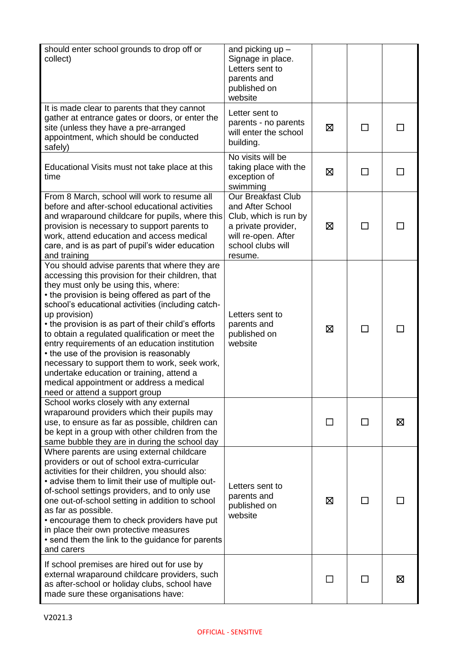| should enter school grounds to drop off or<br>collect)                                                                                                                                                                                                                                                                                                                                                                                                                                                                                                                                                                                                  | and picking up -<br>Signage in place.<br>Letters sent to<br>parents and<br>published on<br>website                                                   |   |        |   |
|---------------------------------------------------------------------------------------------------------------------------------------------------------------------------------------------------------------------------------------------------------------------------------------------------------------------------------------------------------------------------------------------------------------------------------------------------------------------------------------------------------------------------------------------------------------------------------------------------------------------------------------------------------|------------------------------------------------------------------------------------------------------------------------------------------------------|---|--------|---|
| It is made clear to parents that they cannot<br>gather at entrance gates or doors, or enter the<br>site (unless they have a pre-arranged<br>appointment, which should be conducted<br>safely)                                                                                                                                                                                                                                                                                                                                                                                                                                                           | Letter sent to<br>parents - no parents<br>will enter the school<br>building.                                                                         | 区 | $\Box$ |   |
| Educational Visits must not take place at this<br>time                                                                                                                                                                                                                                                                                                                                                                                                                                                                                                                                                                                                  | No visits will be<br>taking place with the<br>exception of<br>swimming                                                                               | ⊠ |        |   |
| From 8 March, school will work to resume all<br>before and after-school educational activities<br>and wraparound childcare for pupils, where this<br>provision is necessary to support parents to<br>work, attend education and access medical<br>care, and is as part of pupil's wider education<br>and training                                                                                                                                                                                                                                                                                                                                       | <b>Our Breakfast Club</b><br>and After School<br>Club, which is run by<br>a private provider,<br>will re-open. After<br>school clubs will<br>resume. | ⊠ |        |   |
| You should advise parents that where they are<br>accessing this provision for their children, that<br>they must only be using this, where:<br>• the provision is being offered as part of the<br>school's educational activities (including catch-<br>up provision)<br>• the provision is as part of their child's efforts<br>to obtain a regulated qualification or meet the<br>entry requirements of an education institution<br>• the use of the provision is reasonably<br>necessary to support them to work, seek work,<br>undertake education or training, attend a<br>medical appointment or address a medical<br>need or attend a support group | Letters sent to<br>parents and<br>published on<br>website                                                                                            | 区 |        |   |
| School works closely with any external<br>wraparound providers which their pupils may<br>use, to ensure as far as possible, children can<br>be kept in a group with other children from the<br>same bubble they are in during the school day                                                                                                                                                                                                                                                                                                                                                                                                            |                                                                                                                                                      |   |        | ⊠ |
| Where parents are using external childcare<br>providers or out of school extra-curricular<br>activities for their children, you should also:<br>• advise them to limit their use of multiple out-<br>of-school settings providers, and to only use<br>one out-of-school setting in addition to school<br>as far as possible.<br>• encourage them to check providers have put<br>in place their own protective measures<br>• send them the link to the guidance for parents<br>and carers                                                                                                                                                                | Letters sent to<br>parents and<br>published on<br>website                                                                                            | ⊠ |        |   |
| If school premises are hired out for use by<br>external wraparound childcare providers, such<br>as after-school or holiday clubs, school have<br>made sure these organisations have:                                                                                                                                                                                                                                                                                                                                                                                                                                                                    |                                                                                                                                                      |   |        | ⊠ |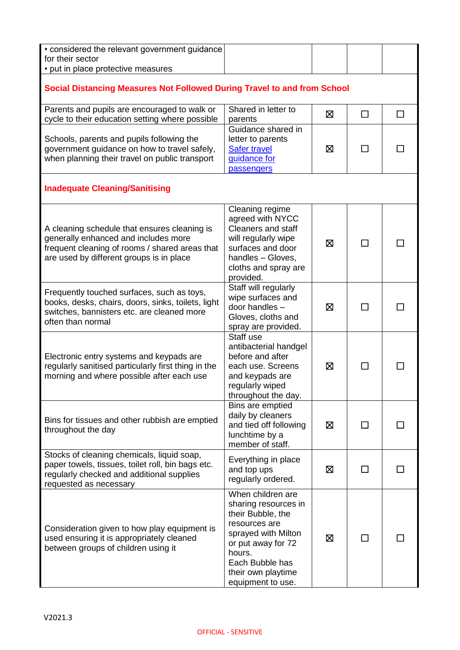| • considered the relevant government guidance<br>for their sector<br>• put in place protective measures                                                                            |                                                                                                                                                                                                      |   |              |        |
|------------------------------------------------------------------------------------------------------------------------------------------------------------------------------------|------------------------------------------------------------------------------------------------------------------------------------------------------------------------------------------------------|---|--------------|--------|
| Social Distancing Measures Not Followed During Travel to and from School                                                                                                           |                                                                                                                                                                                                      |   |              |        |
| Parents and pupils are encouraged to walk or<br>cycle to their education setting where possible                                                                                    | Shared in letter to<br>parents                                                                                                                                                                       | 区 | □            | $\Box$ |
| Schools, parents and pupils following the<br>government guidance on how to travel safely,<br>when planning their travel on public transport                                        | Guidance shared in<br>letter to parents<br><b>Safer travel</b><br>guidance for<br>passengers                                                                                                         | 区 |              |        |
| <b>Inadequate Cleaning/Sanitising</b>                                                                                                                                              |                                                                                                                                                                                                      |   |              |        |
| A cleaning schedule that ensures cleaning is<br>generally enhanced and includes more<br>frequent cleaning of rooms / shared areas that<br>are used by different groups is in place | Cleaning regime<br>agreed with NYCC<br><b>Cleaners and staff</b><br>will regularly wipe<br>surfaces and door<br>handles - Gloves,<br>cloths and spray are<br>provided.                               | ⊠ | $\Box$       |        |
| Frequently touched surfaces, such as toys,<br>books, desks, chairs, doors, sinks, toilets, light<br>switches, bannisters etc. are cleaned more<br>often than normal                | Staff will regularly<br>wipe surfaces and<br>door handles -<br>Gloves, cloths and<br>spray are provided.                                                                                             | ⊠ | ΙI           |        |
| Electronic entry systems and keypads are<br>regularly sanitised particularly first thing in the<br>morning and where possible after each use                                       | Staff use<br>antibacterial handgel<br>before and after<br>each use. Screens<br>and keypads are<br>regularly wiped<br>throughout the day.                                                             | 区 |              |        |
| Bins for tissues and other rubbish are emptied<br>throughout the day                                                                                                               | Bins are emptied<br>daily by cleaners<br>and tied off following<br>lunchtime by a<br>member of staff.                                                                                                | ⊠ | ΙI           |        |
| Stocks of cleaning chemicals, liquid soap,<br>paper towels, tissues, toilet roll, bin bags etc.<br>regularly checked and additional supplies<br>requested as necessary             | Everything in place<br>and top ups<br>regularly ordered.                                                                                                                                             | ⊠ | $\mathsf{L}$ |        |
| Consideration given to how play equipment is<br>used ensuring it is appropriately cleaned<br>between groups of children using it                                                   | When children are<br>sharing resources in<br>their Bubble, the<br>resources are<br>sprayed with Milton<br>or put away for 72<br>hours.<br>Each Bubble has<br>their own playtime<br>equipment to use. | ⊠ |              |        |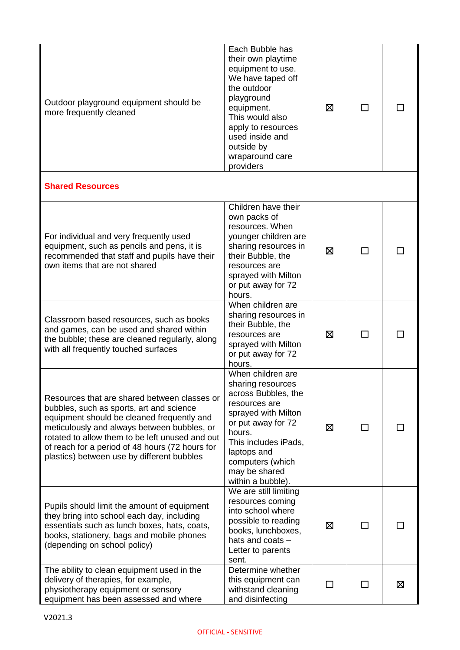| Outdoor playground equipment should be<br>more frequently cleaned                                                                                                                                                                                                                                                                         | Each Bubble has<br>their own playtime<br>equipment to use.<br>We have taped off<br>the outdoor<br>playground<br>equipment.<br>This would also<br>apply to resources<br>used inside and<br>outside by<br>wraparound care<br>providers   | ⊠ |              |   |
|-------------------------------------------------------------------------------------------------------------------------------------------------------------------------------------------------------------------------------------------------------------------------------------------------------------------------------------------|----------------------------------------------------------------------------------------------------------------------------------------------------------------------------------------------------------------------------------------|---|--------------|---|
| <b>Shared Resources</b>                                                                                                                                                                                                                                                                                                                   |                                                                                                                                                                                                                                        |   |              |   |
| For individual and very frequently used<br>equipment, such as pencils and pens, it is<br>recommended that staff and pupils have their<br>own items that are not shared                                                                                                                                                                    | Children have their<br>own packs of<br>resources. When<br>younger children are<br>sharing resources in<br>their Bubble, the<br>resources are<br>sprayed with Milton<br>or put away for 72<br>hours.                                    | ⊠ |              |   |
| Classroom based resources, such as books<br>and games, can be used and shared within<br>the bubble; these are cleaned regularly, along<br>with all frequently touched surfaces                                                                                                                                                            | When children are<br>sharing resources in<br>their Bubble, the<br>resources are<br>sprayed with Milton<br>or put away for 72<br>hours.                                                                                                 | ⊠ |              |   |
| Resources that are shared between classes or<br>bubbles, such as sports, art and science<br>equipment should be cleaned frequently and<br>meticulously and always between bubbles, or<br>rotated to allow them to be left unused and out<br>of reach for a period of 48 hours (72 hours for<br>plastics) between use by different bubbles | When children are<br>sharing resources<br>across Bubbles, the<br>resources are<br>sprayed with Milton<br>or put away for 72<br>hours.<br>This includes iPads,<br>laptops and<br>computers (which<br>may be shared<br>within a bubble). | ⊠ |              |   |
| Pupils should limit the amount of equipment<br>they bring into school each day, including<br>essentials such as lunch boxes, hats, coats,<br>books, stationery, bags and mobile phones<br>(depending on school policy)                                                                                                                    | We are still limiting<br>resources coming<br>into school where<br>possible to reading<br>books, lunchboxes,<br>hats and coats -<br>Letter to parents<br>sent.                                                                          | ⊠ | $\mathbf{I}$ |   |
| The ability to clean equipment used in the<br>delivery of therapies, for example,<br>physiotherapy equipment or sensory<br>equipment has been assessed and where                                                                                                                                                                          | Determine whether<br>this equipment can<br>withstand cleaning<br>and disinfecting                                                                                                                                                      |   |              | ⊠ |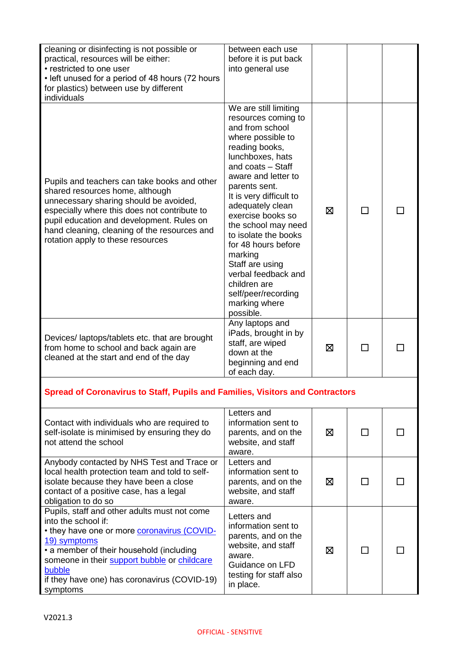| cleaning or disinfecting is not possible or<br>practical, resources will be either:<br>• restricted to one user<br>• left unused for a period of 48 hours (72 hours<br>for plastics) between use by different<br>individuals                                                                                | between each use<br>before it is put back<br>into general use                                                                                                                                                                                                                                                                                                                                                                                               |   |        |  |
|-------------------------------------------------------------------------------------------------------------------------------------------------------------------------------------------------------------------------------------------------------------------------------------------------------------|-------------------------------------------------------------------------------------------------------------------------------------------------------------------------------------------------------------------------------------------------------------------------------------------------------------------------------------------------------------------------------------------------------------------------------------------------------------|---|--------|--|
| Pupils and teachers can take books and other<br>shared resources home, although<br>unnecessary sharing should be avoided,<br>especially where this does not contribute to<br>pupil education and development. Rules on<br>hand cleaning, cleaning of the resources and<br>rotation apply to these resources | We are still limiting<br>resources coming to<br>and from school<br>where possible to<br>reading books,<br>lunchboxes, hats<br>and coats - Staff<br>aware and letter to<br>parents sent.<br>It is very difficult to<br>adequately clean<br>exercise books so<br>the school may need<br>to isolate the books<br>for 48 hours before<br>marking<br>Staff are using<br>verbal feedback and<br>children are<br>self/peer/recording<br>marking where<br>possible. | ⊠ |        |  |
| Devices/laptops/tablets etc. that are brought<br>from home to school and back again are<br>cleaned at the start and end of the day                                                                                                                                                                          | Any laptops and<br>iPads, brought in by<br>staff, are wiped<br>down at the<br>beginning and end<br>of each day.                                                                                                                                                                                                                                                                                                                                             | ⊠ | $\Box$ |  |

## **Spread of Coronavirus to Staff, Pupils and Families, Visitors and Contractors**

| Contact with individuals who are required to<br>self-isolate is minimised by ensuring they do<br>not attend the school                                                                                                                                                                                      | Letters and<br>information sent to<br>parents, and on the<br>website, and staff<br>aware.                                                           | ⊠ |  |
|-------------------------------------------------------------------------------------------------------------------------------------------------------------------------------------------------------------------------------------------------------------------------------------------------------------|-----------------------------------------------------------------------------------------------------------------------------------------------------|---|--|
| Anybody contacted by NHS Test and Trace or<br>local health protection team and told to self-<br>isolate because they have been a close<br>contact of a positive case, has a legal<br>obligation to do so                                                                                                    | Letters and<br>information sent to<br>parents, and on the<br>website, and staff<br>aware.                                                           | ⊠ |  |
| Pupils, staff and other adults must not come<br>into the school if:<br>. they have one or more <b>coronavirus (COVID-</b><br>19) symptoms<br>• a member of their household (including<br>someone in their support bubble or childcare<br>bubble<br>if they have one) has coronavirus (COVID-19)<br>symptoms | Letters and<br>information sent to<br>parents, and on the<br>website, and staff<br>aware.<br>Guidance on LFD<br>testing for staff also<br>in place. | ⊠ |  |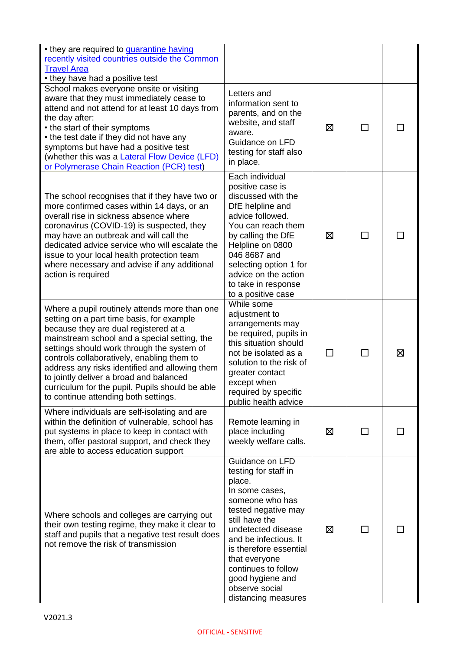| • they are required to <b>quarantine having</b><br>recently visited countries outside the Common<br><b>Travel Area</b><br>• they have had a positive test                                                                                                                                                                                                                                                                                                               |                                                                                                                                                                                                                                                                                                               |   |              |   |
|-------------------------------------------------------------------------------------------------------------------------------------------------------------------------------------------------------------------------------------------------------------------------------------------------------------------------------------------------------------------------------------------------------------------------------------------------------------------------|---------------------------------------------------------------------------------------------------------------------------------------------------------------------------------------------------------------------------------------------------------------------------------------------------------------|---|--------------|---|
| School makes everyone onsite or visiting<br>aware that they must immediately cease to<br>attend and not attend for at least 10 days from<br>the day after:<br>• the start of their symptoms<br>• the test date if they did not have any<br>symptoms but have had a positive test<br>(whether this was a Lateral Flow Device (LFD)<br>or Polymerase Chain Reaction (PCR) test)                                                                                           | Letters and<br>information sent to<br>parents, and on the<br>website, and staff<br>aware.<br>Guidance on LFD<br>testing for staff also<br>in place.                                                                                                                                                           | ⊠ | $\mathsf{L}$ |   |
| The school recognises that if they have two or<br>more confirmed cases within 14 days, or an<br>overall rise in sickness absence where<br>coronavirus (COVID-19) is suspected, they<br>may have an outbreak and will call the<br>dedicated advice service who will escalate the<br>issue to your local health protection team<br>where necessary and advise if any additional<br>action is required                                                                     | Each individual<br>positive case is<br>discussed with the<br>DfE helpline and<br>advice followed.<br>You can reach them<br>by calling the DfE<br>Helpline on 0800<br>046 8687 and<br>selecting option 1 for<br>advice on the action<br>to take in response<br>to a positive case                              | ⊠ | П            |   |
| Where a pupil routinely attends more than one<br>setting on a part time basis, for example<br>because they are dual registered at a<br>mainstream school and a special setting, the<br>settings should work through the system of<br>controls collaboratively, enabling them to<br>address any risks identified and allowing them<br>to jointly deliver a broad and balanced<br>curriculum for the pupil. Pupils should be able<br>to continue attending both settings. | While some<br>adjustment to<br>arrangements may<br>be required, pupils in<br>this situation should<br>not be isolated as a<br>solution to the risk of<br>greater contact<br>except when<br>required by specific<br>public health advice                                                                       |   | ΙI           | ⊠ |
| Where individuals are self-isolating and are<br>within the definition of vulnerable, school has<br>put systems in place to keep in contact with<br>them, offer pastoral support, and check they<br>are able to access education support                                                                                                                                                                                                                                 | Remote learning in<br>place including<br>weekly welfare calls.                                                                                                                                                                                                                                                | ⊠ | ΙI           |   |
| Where schools and colleges are carrying out<br>their own testing regime, they make it clear to<br>staff and pupils that a negative test result does<br>not remove the risk of transmission                                                                                                                                                                                                                                                                              | Guidance on LFD<br>testing for staff in<br>place.<br>In some cases,<br>someone who has<br>tested negative may<br>still have the<br>undetected disease<br>and be infectious. It<br>is therefore essential<br>that everyone<br>continues to follow<br>good hygiene and<br>observe social<br>distancing measures | ⊠ |              |   |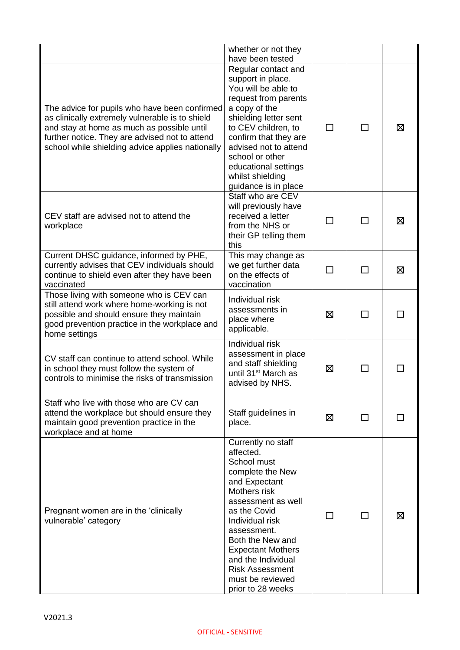|                                                                                                                                                                                                                                                      | whether or not they<br>have been tested                                                                                                                                                                                                                                                                              |         |              |   |
|------------------------------------------------------------------------------------------------------------------------------------------------------------------------------------------------------------------------------------------------------|----------------------------------------------------------------------------------------------------------------------------------------------------------------------------------------------------------------------------------------------------------------------------------------------------------------------|---------|--------------|---|
| The advice for pupils who have been confirmed<br>as clinically extremely vulnerable is to shield<br>and stay at home as much as possible until<br>further notice. They are advised not to attend<br>school while shielding advice applies nationally | Regular contact and<br>support in place.<br>You will be able to<br>request from parents<br>a copy of the<br>shielding letter sent<br>to CEV children, to<br>confirm that they are<br>advised not to attend<br>school or other<br>educational settings<br>whilst shielding<br>guidance is in place                    | ΙI      | ΙI           | ⊠ |
| CEV staff are advised not to attend the<br>workplace                                                                                                                                                                                                 | Staff who are CEV<br>will previously have<br>received a letter<br>from the NHS or<br>their GP telling them<br>this                                                                                                                                                                                                   |         | П            | ⊠ |
| Current DHSC guidance, informed by PHE,<br>currently advises that CEV individuals should<br>continue to shield even after they have been<br>vaccinated                                                                                               | This may change as<br>we get further data<br>on the effects of<br>vaccination                                                                                                                                                                                                                                        |         | П            | ⊠ |
| Those living with someone who is CEV can<br>still attend work where home-working is not<br>possible and should ensure they maintain<br>good prevention practice in the workplace and<br>home settings                                                | Individual risk<br>assessments in<br>place where<br>applicable.                                                                                                                                                                                                                                                      | ⊠       | П            |   |
| CV staff can continue to attend school. While<br>in school they must follow the system of<br>controls to minimise the risks of transmission                                                                                                          | Individual risk<br>assessment in place<br>and staff shielding<br>until 31 <sup>st</sup> March as<br>advised by NHS.                                                                                                                                                                                                  | ⊠       | $\mathsf{L}$ |   |
| Staff who live with those who are CV can<br>attend the workplace but should ensure they<br>maintain good prevention practice in the<br>workplace and at home                                                                                         | Staff guidelines in<br>place.                                                                                                                                                                                                                                                                                        | ⊠       |              |   |
| Pregnant women are in the 'clinically<br>vulnerable' category                                                                                                                                                                                        | Currently no staff<br>affected.<br>School must<br>complete the New<br>and Expectant<br>Mothers risk<br>assessment as well<br>as the Covid<br>Individual risk<br>assessment.<br>Both the New and<br><b>Expectant Mothers</b><br>and the Individual<br><b>Risk Assessment</b><br>must be reviewed<br>prior to 28 weeks | $\perp$ | $\perp$      | ⊠ |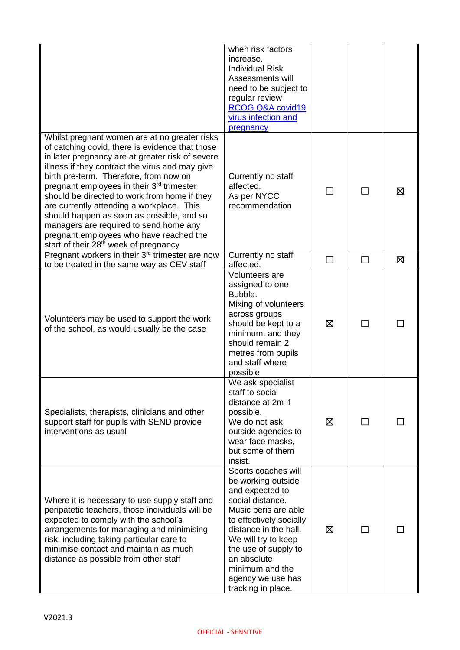|                                                                                                                                                                                                                                                                                                                                                                                                                                                                                                                                                                                                | when risk factors<br>increase.<br><b>Individual Risk</b><br>Assessments will<br>need to be subject to<br>regular review<br>RCOG Q&A covid19<br>virus infection and<br>pregnancy                                                                                                          |   |              |   |
|------------------------------------------------------------------------------------------------------------------------------------------------------------------------------------------------------------------------------------------------------------------------------------------------------------------------------------------------------------------------------------------------------------------------------------------------------------------------------------------------------------------------------------------------------------------------------------------------|------------------------------------------------------------------------------------------------------------------------------------------------------------------------------------------------------------------------------------------------------------------------------------------|---|--------------|---|
| Whilst pregnant women are at no greater risks<br>of catching covid, there is evidence that those<br>in later pregnancy are at greater risk of severe<br>illness if they contract the virus and may give<br>birth pre-term. Therefore, from now on<br>pregnant employees in their 3 <sup>rd</sup> trimester<br>should be directed to work from home if they<br>are currently attending a workplace. This<br>should happen as soon as possible, and so<br>managers are required to send home any<br>pregnant employees who have reached the<br>start of their 28 <sup>th</sup> week of pregnancy | Currently no staff<br>affected.<br>As per NYCC<br>recommendation                                                                                                                                                                                                                         | П | П            | ⊠ |
| Pregnant workers in their 3 <sup>rd</sup> trimester are now<br>to be treated in the same way as CEV staff                                                                                                                                                                                                                                                                                                                                                                                                                                                                                      | Currently no staff<br>affected.                                                                                                                                                                                                                                                          | П | $\Box$       | ⊠ |
| Volunteers may be used to support the work<br>of the school, as would usually be the case                                                                                                                                                                                                                                                                                                                                                                                                                                                                                                      | Volunteers are<br>assigned to one<br>Bubble.<br>Mixing of volunteers<br>across groups<br>should be kept to a<br>minimum, and they<br>should remain 2<br>metres from pupils<br>and staff where<br>possible                                                                                | ⊠ | $\mathsf{L}$ |   |
| Specialists, therapists, clinicians and other<br>support staff for pupils with SEND provide<br>interventions as usual                                                                                                                                                                                                                                                                                                                                                                                                                                                                          | We ask specialist<br>staff to social<br>distance at 2m if<br>possible.<br>We do not ask<br>outside agencies to<br>wear face masks,<br>but some of them<br>insist.                                                                                                                        | ⊠ | П            |   |
| Where it is necessary to use supply staff and<br>peripatetic teachers, those individuals will be<br>expected to comply with the school's<br>arrangements for managing and minimising<br>risk, including taking particular care to<br>minimise contact and maintain as much<br>distance as possible from other staff                                                                                                                                                                                                                                                                            | Sports coaches will<br>be working outside<br>and expected to<br>social distance.<br>Music peris are able<br>to effectively socially<br>distance in the hall.<br>We will try to keep<br>the use of supply to<br>an absolute<br>minimum and the<br>agency we use has<br>tracking in place. | ⊠ | ΙI           |   |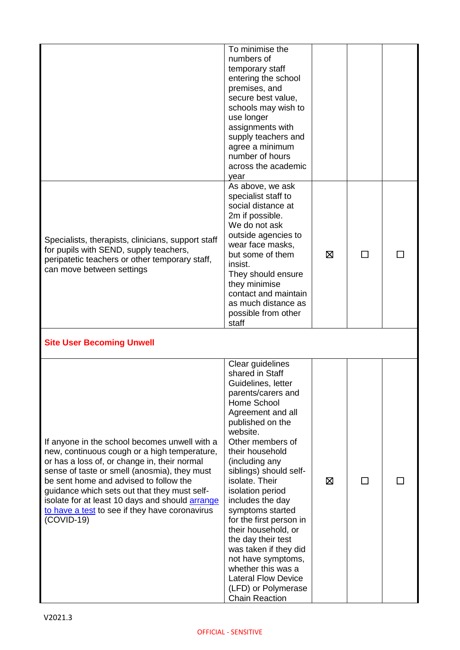|                                                                                                                                                                                                                                                                                                                                                                                                                     | To minimise the<br>numbers of<br>temporary staff<br>entering the school<br>premises, and<br>secure best value,<br>schools may wish to<br>use longer<br>assignments with<br>supply teachers and<br>agree a minimum<br>number of hours<br>across the academic<br>year                                                                                                                                                                                                                                                                             |   |              |  |
|---------------------------------------------------------------------------------------------------------------------------------------------------------------------------------------------------------------------------------------------------------------------------------------------------------------------------------------------------------------------------------------------------------------------|-------------------------------------------------------------------------------------------------------------------------------------------------------------------------------------------------------------------------------------------------------------------------------------------------------------------------------------------------------------------------------------------------------------------------------------------------------------------------------------------------------------------------------------------------|---|--------------|--|
| Specialists, therapists, clinicians, support staff<br>for pupils with SEND, supply teachers,<br>peripatetic teachers or other temporary staff,<br>can move between settings                                                                                                                                                                                                                                         | As above, we ask<br>specialist staff to<br>social distance at<br>2m if possible.<br>We do not ask<br>outside agencies to<br>wear face masks,<br>but some of them<br>insist.<br>They should ensure<br>they minimise<br>contact and maintain<br>as much distance as<br>possible from other<br>staff                                                                                                                                                                                                                                               | ⊠ | $\mathbf{I}$ |  |
| <b>Site User Becoming Unwell</b>                                                                                                                                                                                                                                                                                                                                                                                    |                                                                                                                                                                                                                                                                                                                                                                                                                                                                                                                                                 |   |              |  |
| If anyone in the school becomes unwell with a<br>new, continuous cough or a high temperature,<br>or has a loss of, or change in, their normal<br>sense of taste or smell (anosmia), they must<br>be sent home and advised to follow the<br>guidance which sets out that they must self-<br>isolate for at least 10 days and should <b>arrange</b><br>to have a test to see if they have coronavirus<br>$(COVID-19)$ | Clear guidelines<br>shared in Staff<br>Guidelines, letter<br>parents/carers and<br>Home School<br>Agreement and all<br>published on the<br>website.<br>Other members of<br>their household<br>(including any<br>siblings) should self-<br>isolate. Their<br>isolation period<br>includes the day<br>symptoms started<br>for the first person in<br>their household, or<br>the day their test<br>was taken if they did<br>not have symptoms,<br>whether this was a<br><b>Lateral Flow Device</b><br>(LFD) or Polymerase<br><b>Chain Reaction</b> | 区 |              |  |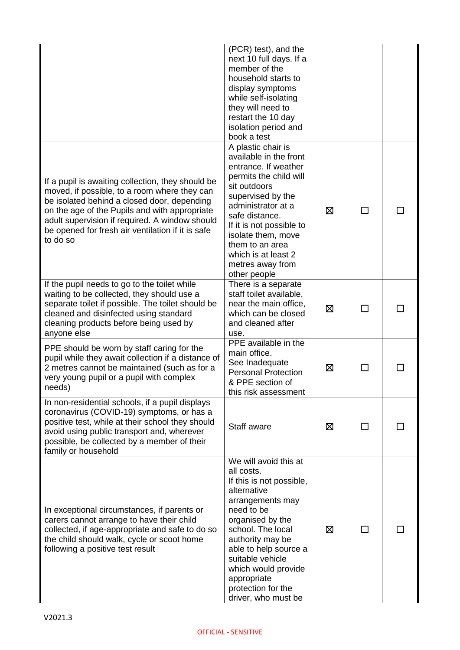|                                                                                                                                                                                                                                                                                                                      | (PCR) test), and the<br>next 10 full days. If a<br>member of the<br>household starts to<br>display symptoms<br>while self-isolating<br>they will need to<br>restart the 10 day<br>isolation period and<br>book a test                                                                                         |   |               |  |
|----------------------------------------------------------------------------------------------------------------------------------------------------------------------------------------------------------------------------------------------------------------------------------------------------------------------|---------------------------------------------------------------------------------------------------------------------------------------------------------------------------------------------------------------------------------------------------------------------------------------------------------------|---|---------------|--|
| If a pupil is awaiting collection, they should be<br>moved, if possible, to a room where they can<br>be isolated behind a closed door, depending<br>on the age of the Pupils and with appropriate<br>adult supervision if required. A window should<br>be opened for fresh air ventilation if it is safe<br>to do so | A plastic chair is<br>available in the front<br>entrance. If weather<br>permits the child will<br>sit outdoors<br>supervised by the<br>administrator at a<br>safe distance.<br>If it is not possible to<br>isolate them, move<br>them to an area<br>which is at least 2<br>metres away from<br>other people   | ⊠ | $\mathcal{L}$ |  |
| If the pupil needs to go to the toilet while<br>waiting to be collected, they should use a<br>separate toilet if possible. The toilet should be<br>cleaned and disinfected using standard<br>cleaning products before being used by<br>anyone else                                                                   | There is a separate<br>staff toilet available,<br>near the main office,<br>which can be closed<br>and cleaned after<br>use.                                                                                                                                                                                   | ⊠ | ΙI            |  |
| PPE should be worn by staff caring for the<br>pupil while they await collection if a distance of<br>2 metres cannot be maintained (such as for a<br>very young pupil or a pupil with complex<br>needs)                                                                                                               | PPE available in the<br>main office.<br>See Inadequate<br><b>Personal Protection</b><br>& PPE section of<br>this risk assessment                                                                                                                                                                              | ⊠ | $\mathcal{L}$ |  |
| In non-residential schools, if a pupil displays<br>coronavirus (COVID-19) symptoms, or has a<br>positive test, while at their school they should<br>avoid using public transport and, wherever<br>possible, be collected by a member of their<br>family or household                                                 | Staff aware                                                                                                                                                                                                                                                                                                   | ⊠ |               |  |
| In exceptional circumstances, if parents or<br>carers cannot arrange to have their child<br>collected, if age-appropriate and safe to do so<br>the child should walk, cycle or scoot home<br>following a positive test result                                                                                        | We will avoid this at<br>all costs.<br>If this is not possible,<br>alternative<br>arrangements may<br>need to be<br>organised by the<br>school. The local<br>authority may be<br>able to help source a<br>suitable vehicle<br>which would provide<br>appropriate<br>protection for the<br>driver, who must be | ⊠ | $\mathbf{I}$  |  |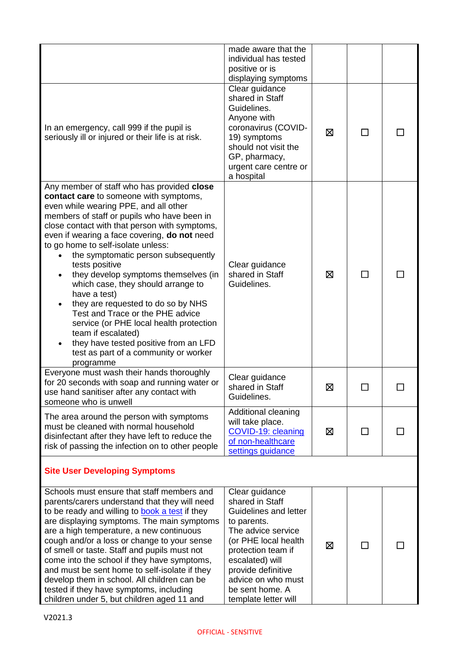|                                                                                                                                                                                                                                                                                                                                                                                                                                                                                                                                                                                                                                                                                                                      | made aware that the<br>individual has tested<br>positive or is<br>displaying symptoms                                                                                                                                                                   |   |               |  |
|----------------------------------------------------------------------------------------------------------------------------------------------------------------------------------------------------------------------------------------------------------------------------------------------------------------------------------------------------------------------------------------------------------------------------------------------------------------------------------------------------------------------------------------------------------------------------------------------------------------------------------------------------------------------------------------------------------------------|---------------------------------------------------------------------------------------------------------------------------------------------------------------------------------------------------------------------------------------------------------|---|---------------|--|
| In an emergency, call 999 if the pupil is<br>seriously ill or injured or their life is at risk.                                                                                                                                                                                                                                                                                                                                                                                                                                                                                                                                                                                                                      | Clear guidance<br>shared in Staff<br>Guidelines.<br>Anyone with<br>coronavirus (COVID-<br>19) symptoms<br>should not visit the<br>GP, pharmacy,<br>urgent care centre or<br>a hospital                                                                  | ⊠ |               |  |
| Any member of staff who has provided close<br>contact care to someone with symptoms,<br>even while wearing PPE, and all other<br>members of staff or pupils who have been in<br>close contact with that person with symptoms,<br>even if wearing a face covering, do not need<br>to go home to self-isolate unless:<br>the symptomatic person subsequently<br>tests positive<br>they develop symptoms themselves (in<br>which case, they should arrange to<br>have a test)<br>they are requested to do so by NHS<br>Test and Trace or the PHE advice<br>service (or PHE local health protection<br>team if escalated)<br>they have tested positive from an LFD<br>test as part of a community or worker<br>programme | Clear guidance<br>shared in Staff<br>Guidelines.                                                                                                                                                                                                        | ⊠ | <b>Talent</b> |  |
| Everyone must wash their hands thoroughly<br>for 20 seconds with soap and running water or<br>use hand sanitiser after any contact with<br>someone who is unwell                                                                                                                                                                                                                                                                                                                                                                                                                                                                                                                                                     | Clear guidance<br>shared in Staff<br>Guidelines.                                                                                                                                                                                                        | ⊠ |               |  |
| The area around the person with symptoms<br>must be cleaned with normal household<br>disinfectant after they have left to reduce the<br>risk of passing the infection on to other people                                                                                                                                                                                                                                                                                                                                                                                                                                                                                                                             | Additional cleaning<br>will take place.<br>COVID-19: cleaning<br>of non-healthcare<br>settings guidance                                                                                                                                                 | ⊠ | ΙI            |  |
| <b>Site User Developing Symptoms</b>                                                                                                                                                                                                                                                                                                                                                                                                                                                                                                                                                                                                                                                                                 |                                                                                                                                                                                                                                                         |   |               |  |
| Schools must ensure that staff members and<br>parents/carers understand that they will need<br>to be ready and willing to book a test if they<br>are displaying symptoms. The main symptoms<br>are a high temperature, a new continuous<br>cough and/or a loss or change to your sense<br>of smell or taste. Staff and pupils must not<br>come into the school if they have symptoms,<br>and must be sent home to self-isolate if they<br>develop them in school. All children can be<br>tested if they have symptoms, including<br>children under 5, but children aged 11 and                                                                                                                                       | Clear guidance<br>shared in Staff<br>Guidelines and letter<br>to parents.<br>The advice service<br>(or PHE local health<br>protection team if<br>escalated) will<br>provide definitive<br>advice on who must<br>be sent home. A<br>template letter will | ⊠ |               |  |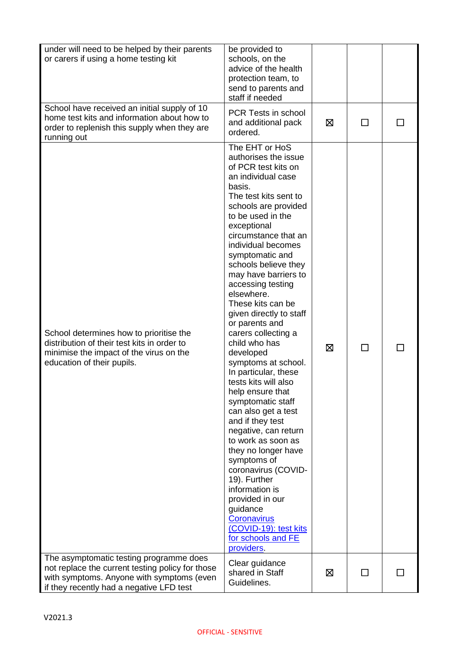| under will need to be helped by their parents<br>or carers if using a home testing kit                                                                                               | be provided to<br>schools, on the<br>advice of the health<br>protection team, to<br>send to parents and<br>staff if needed                                                                                                                                                                                                                                                                                                                                                                                                                                                                                                                                                                                                                                                                                                                                                       |   |              |  |
|--------------------------------------------------------------------------------------------------------------------------------------------------------------------------------------|----------------------------------------------------------------------------------------------------------------------------------------------------------------------------------------------------------------------------------------------------------------------------------------------------------------------------------------------------------------------------------------------------------------------------------------------------------------------------------------------------------------------------------------------------------------------------------------------------------------------------------------------------------------------------------------------------------------------------------------------------------------------------------------------------------------------------------------------------------------------------------|---|--------------|--|
| School have received an initial supply of 10<br>home test kits and information about how to<br>order to replenish this supply when they are<br>running out                           | PCR Tests in school<br>and additional pack<br>ordered.                                                                                                                                                                                                                                                                                                                                                                                                                                                                                                                                                                                                                                                                                                                                                                                                                           | ⊠ | $\mathsf{L}$ |  |
| School determines how to prioritise the<br>distribution of their test kits in order to<br>minimise the impact of the virus on the<br>education of their pupils.                      | The EHT or HoS<br>authorises the issue<br>of PCR test kits on<br>an individual case<br>basis.<br>The test kits sent to<br>schools are provided<br>to be used in the<br>exceptional<br>circumstance that an<br>individual becomes<br>symptomatic and<br>schools believe they<br>may have barriers to<br>accessing testing<br>elsewhere.<br>These kits can be<br>given directly to staff<br>or parents and<br>carers collecting a<br>child who has<br>developed<br>symptoms at school.<br>In particular, these<br>tests kits will also<br>help ensure that<br>symptomatic staff<br>can also get a test<br>and if they test<br>negative, can return<br>to work as soon as<br>they no longer have<br>symptoms of<br>coronavirus (COVID-<br>19). Further<br>information is<br>provided in our<br>guidance<br>Coronavirus<br>(COVID-19): test kits<br>for schools and FE<br>providers. | ⊠ | ΙI           |  |
| The asymptomatic testing programme does<br>not replace the current testing policy for those<br>with symptoms. Anyone with symptoms (even<br>if they recently had a negative LFD test | Clear guidance<br>shared in Staff<br>Guidelines.                                                                                                                                                                                                                                                                                                                                                                                                                                                                                                                                                                                                                                                                                                                                                                                                                                 | ⊠ |              |  |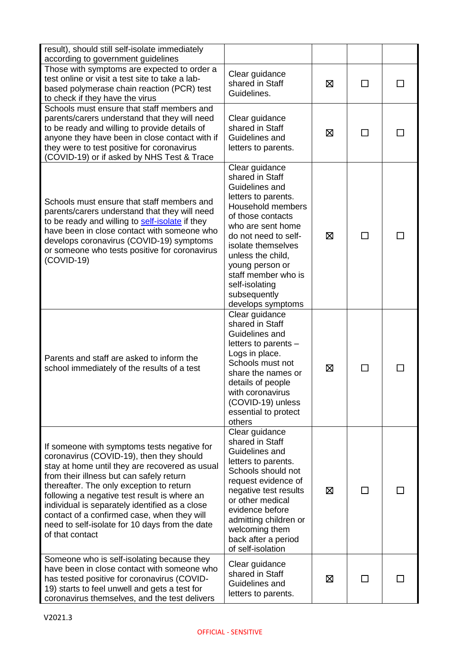| result), should still self-isolate immediately<br>according to government guidelines                                                                                                                                                                                                                                                                                                                                                                    |                                                                                                                                                                                                                                                                                                               |   |              |  |
|---------------------------------------------------------------------------------------------------------------------------------------------------------------------------------------------------------------------------------------------------------------------------------------------------------------------------------------------------------------------------------------------------------------------------------------------------------|---------------------------------------------------------------------------------------------------------------------------------------------------------------------------------------------------------------------------------------------------------------------------------------------------------------|---|--------------|--|
| Those with symptoms are expected to order a<br>test online or visit a test site to take a lab-<br>based polymerase chain reaction (PCR) test<br>to check if they have the virus                                                                                                                                                                                                                                                                         | Clear guidance<br>shared in Staff<br>Guidelines.                                                                                                                                                                                                                                                              | ⊠ | $\Box$       |  |
| Schools must ensure that staff members and<br>parents/carers understand that they will need<br>to be ready and willing to provide details of<br>anyone they have been in close contact with if<br>they were to test positive for coronavirus<br>(COVID-19) or if asked by NHS Test & Trace                                                                                                                                                              | Clear guidance<br>shared in Staff<br>Guidelines and<br>letters to parents.                                                                                                                                                                                                                                    | ⊠ | П            |  |
| Schools must ensure that staff members and<br>parents/carers understand that they will need<br>to be ready and willing to self-isolate if they<br>have been in close contact with someone who<br>develops coronavirus (COVID-19) symptoms<br>or someone who tests positive for coronavirus<br>$(COVID-19)$                                                                                                                                              | Clear guidance<br>shared in Staff<br>Guidelines and<br>letters to parents.<br>Household members<br>of those contacts<br>who are sent home<br>do not need to self-<br>isolate themselves<br>unless the child,<br>young person or<br>staff member who is<br>self-isolating<br>subsequently<br>develops symptoms | ⊠ | $\mathbf{I}$ |  |
| Parents and staff are asked to inform the<br>school immediately of the results of a test                                                                                                                                                                                                                                                                                                                                                                | Clear guidance<br>shared in Staff<br>Guidelines and<br>letters to parents -<br>Logs in place.<br>Schools must not<br>share the names or<br>details of people<br>with coronavirus<br>(COVID-19) unless<br>essential to protect<br>others                                                                       | ⊠ |              |  |
| If someone with symptoms tests negative for<br>coronavirus (COVID-19), then they should<br>stay at home until they are recovered as usual<br>from their illness but can safely return<br>thereafter. The only exception to return<br>following a negative test result is where an<br>individual is separately identified as a close<br>contact of a confirmed case, when they will<br>need to self-isolate for 10 days from the date<br>of that contact | Clear guidance<br>shared in Staff<br>Guidelines and<br>letters to parents.<br>Schools should not<br>request evidence of<br>negative test results<br>or other medical<br>evidence before<br>admitting children or<br>welcoming them<br>back after a period<br>of self-isolation                                | ⊠ | П            |  |
| Someone who is self-isolating because they<br>have been in close contact with someone who<br>has tested positive for coronavirus (COVID-<br>19) starts to feel unwell and gets a test for<br>coronavirus themselves, and the test delivers                                                                                                                                                                                                              | Clear guidance<br>shared in Staff<br>Guidelines and<br>letters to parents.                                                                                                                                                                                                                                    | ⊠ |              |  |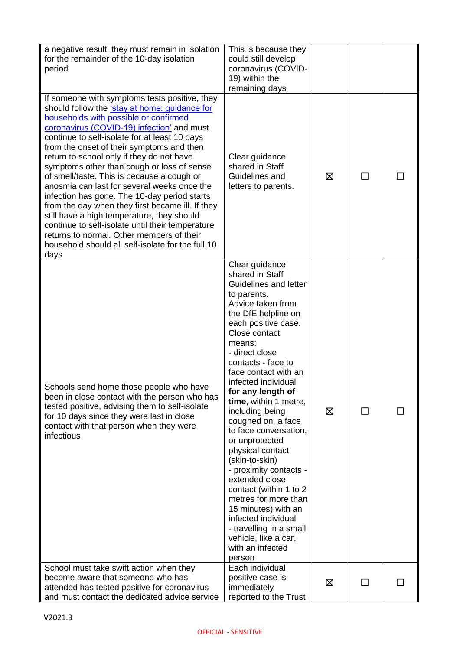| a negative result, they must remain in isolation<br>for the remainder of the 10-day isolation<br>period                                                                                                                                                                                                                                                                                                                                                                                                                                                                                                                                                                                                                                                                                     | This is because they<br>could still develop<br>coronavirus (COVID-<br>19) within the<br>remaining days                                                                                                                                                                                                                                                                                                                                                                                                                                                                                                                                                              |   |              |  |
|---------------------------------------------------------------------------------------------------------------------------------------------------------------------------------------------------------------------------------------------------------------------------------------------------------------------------------------------------------------------------------------------------------------------------------------------------------------------------------------------------------------------------------------------------------------------------------------------------------------------------------------------------------------------------------------------------------------------------------------------------------------------------------------------|---------------------------------------------------------------------------------------------------------------------------------------------------------------------------------------------------------------------------------------------------------------------------------------------------------------------------------------------------------------------------------------------------------------------------------------------------------------------------------------------------------------------------------------------------------------------------------------------------------------------------------------------------------------------|---|--------------|--|
| If someone with symptoms tests positive, they<br>should follow the 'stay at home: guidance for<br>households with possible or confirmed<br>coronavirus (COVID-19) infection' and must<br>continue to self-isolate for at least 10 days<br>from the onset of their symptoms and then<br>return to school only if they do not have<br>symptoms other than cough or loss of sense<br>of smell/taste. This is because a cough or<br>anosmia can last for several weeks once the<br>infection has gone. The 10-day period starts<br>from the day when they first became ill. If they<br>still have a high temperature, they should<br>continue to self-isolate until their temperature<br>returns to normal. Other members of their<br>household should all self-isolate for the full 10<br>days | Clear guidance<br>shared in Staff<br>Guidelines and<br>letters to parents.                                                                                                                                                                                                                                                                                                                                                                                                                                                                                                                                                                                          | ⊠ | ΙI           |  |
| Schools send home those people who have<br>been in close contact with the person who has<br>tested positive, advising them to self-isolate<br>for 10 days since they were last in close<br>contact with that person when they were<br>infectious                                                                                                                                                                                                                                                                                                                                                                                                                                                                                                                                            | Clear guidance<br>shared in Staff<br>Guidelines and letter<br>to parents.<br>Advice taken from<br>the DfE helpline on<br>each positive case.<br>Close contact<br>means:<br>- direct close<br>contacts - face to<br>face contact with an<br>infected individual<br>for any length of<br>time, within 1 metre,<br>including being<br>coughed on, a face<br>to face conversation,<br>or unprotected<br>physical contact<br>(skin-to-skin)<br>- proximity contacts -<br>extended close<br>contact (within 1 to 2<br>metres for more than<br>15 minutes) with an<br>infected individual<br>- travelling in a small<br>vehicle, like a car,<br>with an infected<br>person | ⊠ | $\mathsf{L}$ |  |
| School must take swift action when they<br>become aware that someone who has<br>attended has tested positive for coronavirus<br>and must contact the dedicated advice service                                                                                                                                                                                                                                                                                                                                                                                                                                                                                                                                                                                                               | Each individual<br>positive case is<br>immediately<br>reported to the Trust                                                                                                                                                                                                                                                                                                                                                                                                                                                                                                                                                                                         | ⊠ | $\mathsf{L}$ |  |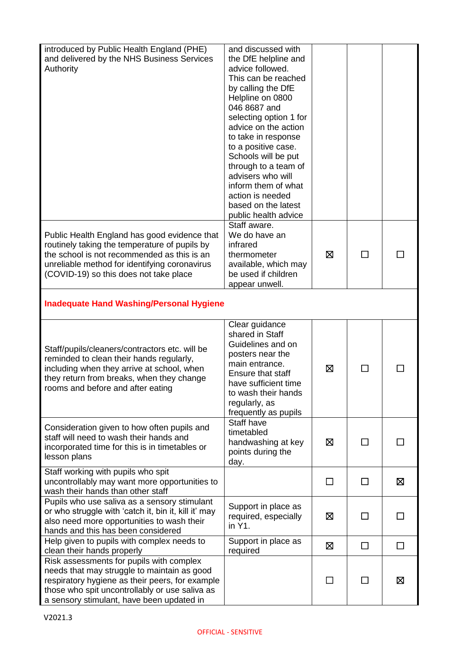| introduced by Public Health England (PHE)<br>and delivered by the NHS Business Services<br>Authority                                                                                                                                      | and discussed with<br>the DfE helpline and<br>advice followed.<br>This can be reached<br>by calling the DfE<br>Helpline on 0800<br>046 8687 and<br>selecting option 1 for<br>advice on the action<br>to take in response<br>to a positive case.<br>Schools will be put<br>through to a team of<br>advisers who will<br>inform them of what<br>action is needed<br>based on the latest<br>public health advice |        |        |        |  |
|-------------------------------------------------------------------------------------------------------------------------------------------------------------------------------------------------------------------------------------------|---------------------------------------------------------------------------------------------------------------------------------------------------------------------------------------------------------------------------------------------------------------------------------------------------------------------------------------------------------------------------------------------------------------|--------|--------|--------|--|
| Public Health England has good evidence that<br>routinely taking the temperature of pupils by<br>the school is not recommended as this is an<br>unreliable method for identifying coronavirus<br>(COVID-19) so this does not take place   | Staff aware.<br>We do have an<br>infrared<br>thermometer<br>available, which may<br>be used if children<br>appear unwell.                                                                                                                                                                                                                                                                                     | X      | П      |        |  |
| <b>Inadequate Hand Washing/Personal Hygiene</b>                                                                                                                                                                                           |                                                                                                                                                                                                                                                                                                                                                                                                               |        |        |        |  |
| Staff/pupils/cleaners/contractors etc. will be<br>reminded to clean their hands regularly,<br>including when they arrive at school, when<br>they return from breaks, when they change<br>rooms and before and after eating                | Clear guidance<br>shared in Staff<br>Guidelines and on<br>posters near the<br>main entrance.<br>Ensure that staff<br>have sufficient time<br>to wash their hands<br>regularly, as<br>frequently as pupils                                                                                                                                                                                                     | ⊠      | П      |        |  |
| Consideration given to how often pupils and<br>staff will need to wash their hands and<br>incorporated time for this is in timetables or<br>lesson plans                                                                                  | Staff have<br>timetabled<br>handwashing at key<br>points during the<br>day.                                                                                                                                                                                                                                                                                                                                   | ⊠      | П      |        |  |
| Staff working with pupils who spit<br>uncontrollably may want more opportunities to<br>wash their hands than other staff                                                                                                                  |                                                                                                                                                                                                                                                                                                                                                                                                               | □      | П      | Ø      |  |
| Pupils who use saliva as a sensory stimulant<br>or who struggle with 'catch it, bin it, kill it' may<br>also need more opportunities to wash their<br>hands and this has been considered                                                  | Support in place as<br>required, especially<br>in Y1.                                                                                                                                                                                                                                                                                                                                                         | 区      | П      |        |  |
| Help given to pupils with complex needs to<br>clean their hands properly                                                                                                                                                                  | Support in place as<br>required                                                                                                                                                                                                                                                                                                                                                                               | ⊠      | $\Box$ | $\Box$ |  |
| Risk assessments for pupils with complex<br>needs that may struggle to maintain as good<br>respiratory hygiene as their peers, for example<br>those who spit uncontrollably or use saliva as<br>a sensory stimulant, have been updated in |                                                                                                                                                                                                                                                                                                                                                                                                               | $\Box$ | П      | ⊠      |  |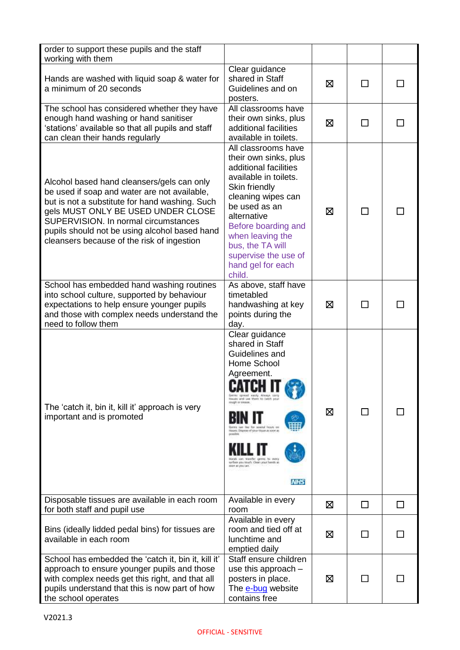| order to support these pupils and the staff<br>working with them                                                                                                                                                                                                                                                          |                                                                                                                                                                                                                                                                                                                                                  |   |                          |        |
|---------------------------------------------------------------------------------------------------------------------------------------------------------------------------------------------------------------------------------------------------------------------------------------------------------------------------|--------------------------------------------------------------------------------------------------------------------------------------------------------------------------------------------------------------------------------------------------------------------------------------------------------------------------------------------------|---|--------------------------|--------|
| Hands are washed with liquid soap & water for<br>a minimum of 20 seconds                                                                                                                                                                                                                                                  | Clear guidance<br>shared in Staff<br>Guidelines and on<br>posters.                                                                                                                                                                                                                                                                               | ⊠ | ΙI                       |        |
| The school has considered whether they have<br>enough hand washing or hand sanitiser<br>'stations' available so that all pupils and staff<br>can clean their hands regularly                                                                                                                                              | All classrooms have<br>their own sinks, plus<br>additional facilities<br>available in toilets.                                                                                                                                                                                                                                                   | ⊠ | □                        | ΙI     |
| Alcohol based hand cleansers/gels can only<br>be used if soap and water are not available,<br>but is not a substitute for hand washing. Such<br>gels MUST ONLY BE USED UNDER CLOSE<br>SUPERVISION. In normal circumstances<br>pupils should not be using alcohol based hand<br>cleansers because of the risk of ingestion | All classrooms have<br>their own sinks, plus<br>additional facilities<br>available in toilets.<br>Skin friendly<br>cleaning wipes can<br>be used as an<br>alternative<br>Before boarding and<br>when leaving the<br>bus, the TA will<br>supervise the use of<br>hand gel for each<br>child.                                                      | ⊠ | П                        |        |
| School has embedded hand washing routines<br>into school culture, supported by behaviour<br>expectations to help ensure younger pupils<br>and those with complex needs understand the<br>need to follow them                                                                                                              | As above, staff have<br>timetabled<br>handwashing at key<br>points during the<br>day.                                                                                                                                                                                                                                                            | ⊠ | $\Box$                   |        |
| The 'catch it, bin it, kill it' approach is very<br>important and is promoted                                                                                                                                                                                                                                             | Clear guidance<br>shared in Staff<br>Guidelines and<br>Home School<br>Agreement.<br>ratrh It<br>Gerras spread easily Always sarry<br>tionals and last them to catch your<br><b>DOUGH OF STORES</b><br>for wwetal frouts on<br>theam. Dispese of your House as soon as<br>irtaca you touch. Clean your hands at<br>abor as you can.<br><b>NHS</b> | ⊠ | $\overline{\phantom{0}}$ |        |
| Disposable tissues are available in each room<br>for both staff and pupil use                                                                                                                                                                                                                                             | Available in every<br>room                                                                                                                                                                                                                                                                                                                       | ⊠ | П                        | П      |
| Bins (ideally lidded pedal bins) for tissues are<br>available in each room                                                                                                                                                                                                                                                | Available in every<br>room and tied off at<br>lunchtime and<br>emptied daily                                                                                                                                                                                                                                                                     | ⊠ | $\Box$                   | $\Box$ |
| School has embedded the 'catch it, bin it, kill it'<br>approach to ensure younger pupils and those<br>with complex needs get this right, and that all<br>pupils understand that this is now part of how<br>the school operates                                                                                            | Staff ensure children<br>use this approach $-$<br>posters in place.<br>The e-bug website<br>contains free                                                                                                                                                                                                                                        | ⊠ |                          |        |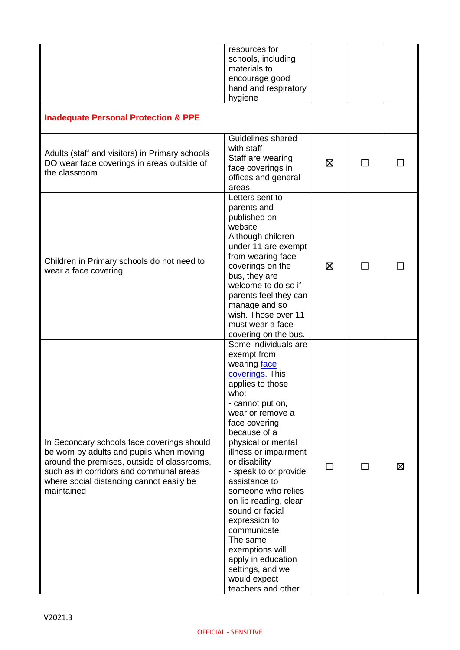|                                                                                                                                                                                                                                            | resources for<br>schools, including<br>materials to<br>encourage good<br>hand and respiratory<br>hygiene                                                                                                                                                                                                                                                                                                                                                                                              |        |        |   |
|--------------------------------------------------------------------------------------------------------------------------------------------------------------------------------------------------------------------------------------------|-------------------------------------------------------------------------------------------------------------------------------------------------------------------------------------------------------------------------------------------------------------------------------------------------------------------------------------------------------------------------------------------------------------------------------------------------------------------------------------------------------|--------|--------|---|
| <b>Inadequate Personal Protection &amp; PPE</b>                                                                                                                                                                                            |                                                                                                                                                                                                                                                                                                                                                                                                                                                                                                       |        |        |   |
| Adults (staff and visitors) in Primary schools<br>DO wear face coverings in areas outside of<br>the classroom                                                                                                                              | Guidelines shared<br>with staff<br>Staff are wearing<br>face coverings in<br>offices and general<br>areas.                                                                                                                                                                                                                                                                                                                                                                                            | ⊠      | ΙI     |   |
| Children in Primary schools do not need to<br>wear a face covering                                                                                                                                                                         | Letters sent to<br>parents and<br>published on<br>website<br>Although children<br>under 11 are exempt<br>from wearing face<br>coverings on the<br>bus, they are<br>welcome to do so if<br>parents feel they can<br>manage and so<br>wish. Those over 11<br>must wear a face<br>covering on the bus.                                                                                                                                                                                                   | ⊠      | П      |   |
| In Secondary schools face coverings should<br>be worn by adults and pupils when moving<br>around the premises, outside of classrooms,<br>such as in corridors and communal areas<br>where social distancing cannot easily be<br>maintained | Some individuals are<br>exempt from<br>wearing face<br>coverings This<br>applies to those<br>who:<br>- cannot put on,<br>wear or remove a<br>face covering<br>because of a<br>physical or mental<br>illness or impairment<br>or disability<br>- speak to or provide<br>assistance to<br>someone who relies<br>on lip reading, clear<br>sound or facial<br>expression to<br>communicate<br>The same<br>exemptions will<br>apply in education<br>settings, and we<br>would expect<br>teachers and other | $\Box$ | $\Box$ | ⊠ |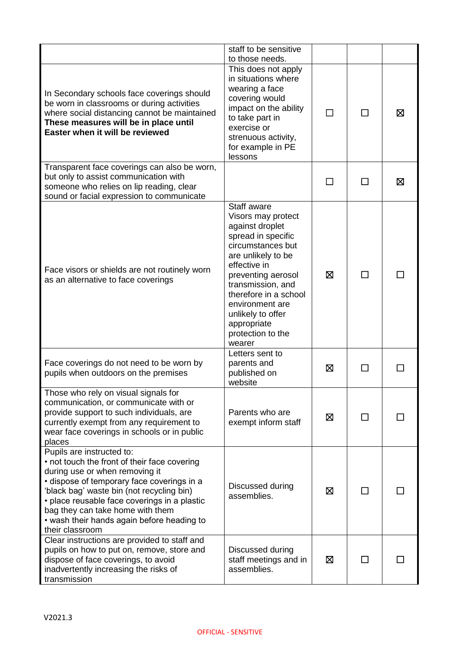|                                                                                                                                                                                                                                                                                                                                                             | staff to be sensitive<br>to those needs.                                                                                                                                                                                                                                                        |   |                |   |
|-------------------------------------------------------------------------------------------------------------------------------------------------------------------------------------------------------------------------------------------------------------------------------------------------------------------------------------------------------------|-------------------------------------------------------------------------------------------------------------------------------------------------------------------------------------------------------------------------------------------------------------------------------------------------|---|----------------|---|
| In Secondary schools face coverings should<br>be worn in classrooms or during activities<br>where social distancing cannot be maintained<br>These measures will be in place until<br>Easter when it will be reviewed                                                                                                                                        | This does not apply<br>in situations where<br>wearing a face<br>covering would<br>impact on the ability<br>to take part in<br>exercise or<br>strenuous activity,<br>for example in PE<br>lessons                                                                                                | П | П              | ⊠ |
| Transparent face coverings can also be worn,<br>but only to assist communication with<br>someone who relies on lip reading, clear<br>sound or facial expression to communicate                                                                                                                                                                              |                                                                                                                                                                                                                                                                                                 |   |                | ⊠ |
| Face visors or shields are not routinely worn<br>as an alternative to face coverings                                                                                                                                                                                                                                                                        | Staff aware<br>Visors may protect<br>against droplet<br>spread in specific<br>circumstances but<br>are unlikely to be<br>effective in<br>preventing aerosol<br>transmission, and<br>therefore in a school<br>environment are<br>unlikely to offer<br>appropriate<br>protection to the<br>wearer | ⊠ | ΙI             |   |
| Face coverings do not need to be worn by<br>pupils when outdoors on the premises                                                                                                                                                                                                                                                                            | Letters sent to<br>parents and<br>published on<br>website                                                                                                                                                                                                                                       | ⊠ |                |   |
| Those who rely on visual signals for<br>communication, or communicate with or<br>provide support to such individuals, are<br>currently exempt from any requirement to<br>wear face coverings in schools or in public<br>places                                                                                                                              | Parents who are<br>exempt inform staff                                                                                                                                                                                                                                                          | ⊠ |                |   |
| Pupils are instructed to:<br>• not touch the front of their face covering<br>during use or when removing it<br>• dispose of temporary face coverings in a<br>'black bag' waste bin (not recycling bin)<br>• place reusable face coverings in a plastic<br>bag they can take home with them<br>• wash their hands again before heading to<br>their classroom | Discussed during<br>assemblies.                                                                                                                                                                                                                                                                 | ⊠ | $\blacksquare$ |   |
| Clear instructions are provided to staff and<br>pupils on how to put on, remove, store and<br>dispose of face coverings, to avoid<br>inadvertently increasing the risks of<br>transmission                                                                                                                                                                  | Discussed during<br>staff meetings and in<br>assemblies.                                                                                                                                                                                                                                        | ⊠ | ΙI             |   |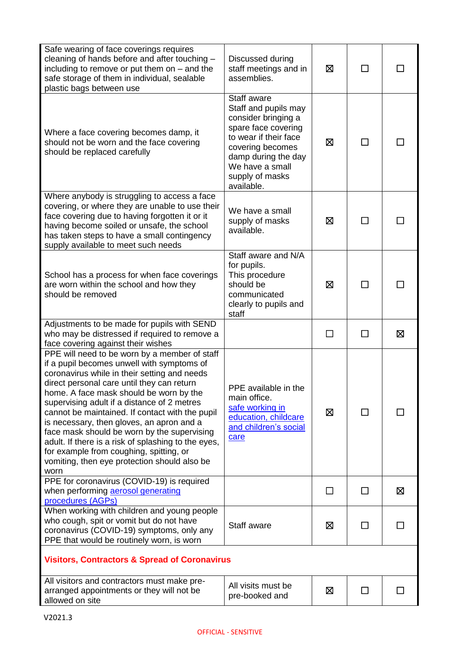| Safe wearing of face coverings requires<br>cleaning of hands before and after touching -<br>including to remove or put them on $-$ and the<br>safe storage of them in individual, sealable<br>plastic bags between use                                                                                                                                                                                                                                                                                                                                                                       | Discussed during<br>staff meetings and in<br>assemblies.                                                                                                                                                  | ⊠       | $\Box$ |             |
|----------------------------------------------------------------------------------------------------------------------------------------------------------------------------------------------------------------------------------------------------------------------------------------------------------------------------------------------------------------------------------------------------------------------------------------------------------------------------------------------------------------------------------------------------------------------------------------------|-----------------------------------------------------------------------------------------------------------------------------------------------------------------------------------------------------------|---------|--------|-------------|
| Where a face covering becomes damp, it<br>should not be worn and the face covering<br>should be replaced carefully                                                                                                                                                                                                                                                                                                                                                                                                                                                                           | Staff aware<br>Staff and pupils may<br>consider bringing a<br>spare face covering<br>to wear if their face<br>covering becomes<br>damp during the day<br>We have a small<br>supply of masks<br>available. | ⊠       | П      |             |
| Where anybody is struggling to access a face<br>covering, or where they are unable to use their<br>face covering due to having forgotten it or it<br>having become soiled or unsafe, the school<br>has taken steps to have a small contingency<br>supply available to meet such needs                                                                                                                                                                                                                                                                                                        | We have a small<br>supply of masks<br>available.                                                                                                                                                          | ⊠       |        |             |
| School has a process for when face coverings<br>are worn within the school and how they<br>should be removed                                                                                                                                                                                                                                                                                                                                                                                                                                                                                 | Staff aware and N/A<br>for pupils.<br>This procedure<br>should be<br>communicated<br>clearly to pupils and<br>staff                                                                                       | ⊠       | ΙI     |             |
| Adjustments to be made for pupils with SEND<br>who may be distressed if required to remove a<br>face covering against their wishes                                                                                                                                                                                                                                                                                                                                                                                                                                                           |                                                                                                                                                                                                           | $\Box$  | $\Box$ | ⊠           |
| PPE will need to be worn by a member of staff<br>if a pupil becomes unwell with symptoms of<br>coronavirus while in their setting and needs<br>direct personal care until they can return<br>home. A face mask should be worn by the<br>supervising adult if a distance of 2 metres<br>cannot be maintained. If contact with the pupil<br>is necessary, then gloves, an apron and a<br>face mask should be worn by the supervising<br>adult. If there is a risk of splashing to the eyes,<br>for example from coughing, spitting, or<br>vomiting, then eye protection should also be<br>worn | PPE available in the<br>main office.<br>safe working in<br>education, childcare<br>and children's social<br>care                                                                                          | ⊠       |        |             |
| PPE for coronavirus (COVID-19) is required<br>when performing aerosol generating<br>procedures (AGPs)                                                                                                                                                                                                                                                                                                                                                                                                                                                                                        |                                                                                                                                                                                                           | $\perp$ | П      | $\boxtimes$ |
| When working with children and young people<br>who cough, spit or vomit but do not have<br>coronavirus (COVID-19) symptoms, only any<br>PPE that would be routinely worn, is worn                                                                                                                                                                                                                                                                                                                                                                                                            | Staff aware                                                                                                                                                                                               | ⊠       | □      |             |
| <b>Visitors, Contractors &amp; Spread of Coronavirus</b>                                                                                                                                                                                                                                                                                                                                                                                                                                                                                                                                     |                                                                                                                                                                                                           |         |        |             |
| All visitors and contractors must make pre-<br>arranged appointments or they will not be<br>allowed on site                                                                                                                                                                                                                                                                                                                                                                                                                                                                                  | All visits must be<br>pre-booked and                                                                                                                                                                      | ⊠       | $\Box$ |             |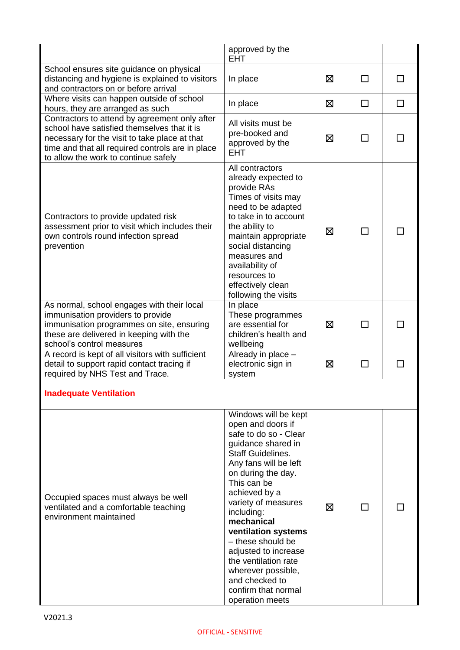|                                                                                                                                                                                                                                           | approved by the<br><b>EHT</b>                                                                                                                                                                                                                                                                                                                                                                                                        |   |   |                |
|-------------------------------------------------------------------------------------------------------------------------------------------------------------------------------------------------------------------------------------------|--------------------------------------------------------------------------------------------------------------------------------------------------------------------------------------------------------------------------------------------------------------------------------------------------------------------------------------------------------------------------------------------------------------------------------------|---|---|----------------|
| School ensures site guidance on physical<br>distancing and hygiene is explained to visitors<br>and contractors on or before arrival                                                                                                       | In place                                                                                                                                                                                                                                                                                                                                                                                                                             | ⊠ | П | $\blacksquare$ |
| Where visits can happen outside of school<br>hours, they are arranged as such                                                                                                                                                             | In place                                                                                                                                                                                                                                                                                                                                                                                                                             | ⊠ | П | П              |
| Contractors to attend by agreement only after<br>school have satisfied themselves that it is<br>necessary for the visit to take place at that<br>time and that all required controls are in place<br>to allow the work to continue safely | All visits must be<br>pre-booked and<br>approved by the<br><b>EHT</b>                                                                                                                                                                                                                                                                                                                                                                | ⊠ |   |                |
| Contractors to provide updated risk<br>assessment prior to visit which includes their<br>own controls round infection spread<br>prevention                                                                                                | All contractors<br>already expected to<br>provide RAs<br>Times of visits may<br>need to be adapted<br>to take in to account<br>the ability to<br>maintain appropriate<br>social distancing<br>measures and<br>availability of<br>resources to<br>effectively clean<br>following the visits                                                                                                                                           | ⊠ |   |                |
| As normal, school engages with their local<br>immunisation providers to provide<br>immunisation programmes on site, ensuring<br>these are delivered in keeping with the<br>school's control measures                                      | In place<br>These programmes<br>are essential for<br>children's health and<br>wellbeing                                                                                                                                                                                                                                                                                                                                              | ⊠ |   |                |
| A record is kept of all visitors with sufficient<br>detail to support rapid contact tracing if<br>required by NHS Test and Trace.                                                                                                         | Already in place -<br>electronic sign in<br>system                                                                                                                                                                                                                                                                                                                                                                                   | ⊠ | П |                |
| <b>Inadequate Ventilation</b>                                                                                                                                                                                                             |                                                                                                                                                                                                                                                                                                                                                                                                                                      |   |   |                |
| Occupied spaces must always be well<br>ventilated and a comfortable teaching<br>environment maintained                                                                                                                                    | Windows will be kept<br>open and doors if<br>safe to do so - Clear<br>guidance shared in<br><b>Staff Guidelines.</b><br>Any fans will be left<br>on during the day.<br>This can be<br>achieved by a<br>variety of measures<br>including:<br>mechanical<br>ventilation systems<br>- these should be<br>adjusted to increase<br>the ventilation rate<br>wherever possible,<br>and checked to<br>confirm that normal<br>operation meets | ⊠ |   |                |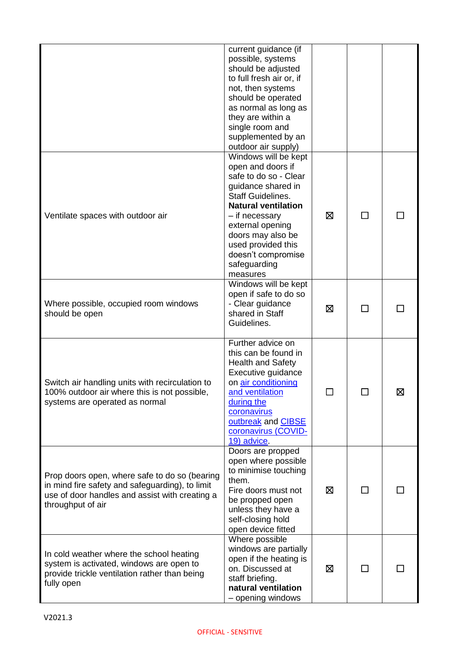|                                                                                                                                                                         | current guidance (if<br>possible, systems<br>should be adjusted<br>to full fresh air or, if<br>not, then systems<br>should be operated<br>as normal as long as<br>they are within a<br>single room and<br>supplemented by an<br>outdoor air supply)                                   |   |        |   |
|-------------------------------------------------------------------------------------------------------------------------------------------------------------------------|---------------------------------------------------------------------------------------------------------------------------------------------------------------------------------------------------------------------------------------------------------------------------------------|---|--------|---|
| Ventilate spaces with outdoor air                                                                                                                                       | Windows will be kept<br>open and doors if<br>safe to do so - Clear<br>guidance shared in<br><b>Staff Guidelines.</b><br><b>Natural ventilation</b><br>- if necessary<br>external opening<br>doors may also be<br>used provided this<br>doesn't compromise<br>safeguarding<br>measures | ⊠ | П      |   |
| Where possible, occupied room windows<br>should be open                                                                                                                 | Windows will be kept<br>open if safe to do so<br>- Clear guidance<br>shared in Staff<br>Guidelines.                                                                                                                                                                                   | ⊠ | $\Box$ |   |
| Switch air handling units with recirculation to<br>100% outdoor air where this is not possible,<br>systems are operated as normal                                       | Further advice on<br>this can be found in<br><b>Health and Safety</b><br>Executive guidance<br>on air conditioning<br>and ventilation<br>during the<br>coronavirus<br>outbreak and CIBSE<br>coronavirus (COVID-<br>19) advice.                                                        |   |        | 区 |
| Prop doors open, where safe to do so (bearing<br>in mind fire safety and safeguarding), to limit<br>use of door handles and assist with creating a<br>throughput of air | Doors are propped<br>open where possible<br>to minimise touching<br>them.<br>Fire doors must not<br>be propped open<br>unless they have a<br>self-closing hold<br>open device fitted                                                                                                  | ⊠ | П      |   |
| In cold weather where the school heating<br>system is activated, windows are open to<br>provide trickle ventilation rather than being<br>fully open                     | Where possible<br>windows are partially<br>open if the heating is<br>on. Discussed at<br>staff briefing.<br>natural ventilation<br>- opening windows                                                                                                                                  | ⊠ | ΙI     |   |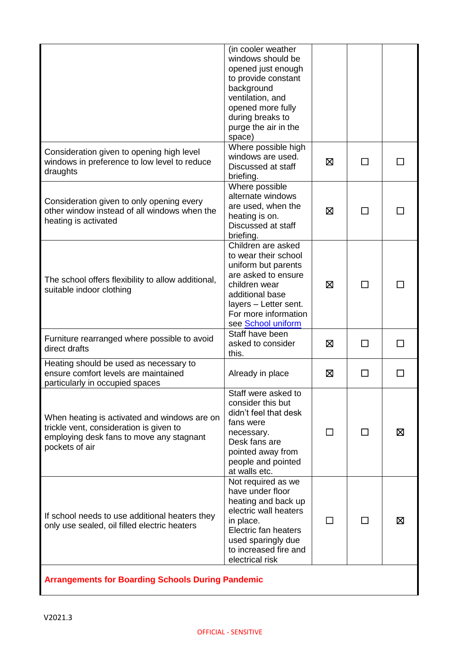|                                                                                                                                                       | (in cooler weather<br>windows should be<br>opened just enough<br>to provide constant<br>background<br>ventilation, and<br>opened more fully<br>during breaks to<br>purge the air in the<br>space)   |   |    |   |
|-------------------------------------------------------------------------------------------------------------------------------------------------------|-----------------------------------------------------------------------------------------------------------------------------------------------------------------------------------------------------|---|----|---|
| Consideration given to opening high level<br>windows in preference to low level to reduce<br>draughts                                                 | Where possible high<br>windows are used.<br>Discussed at staff<br>briefing.                                                                                                                         | ⊠ | П  |   |
| Consideration given to only opening every<br>other window instead of all windows when the<br>heating is activated                                     | Where possible<br>alternate windows<br>are used, when the<br>heating is on.<br>Discussed at staff<br>briefing.                                                                                      | ⊠ | ΙI |   |
| The school offers flexibility to allow additional,<br>suitable indoor clothing                                                                        | Children are asked<br>to wear their school<br>uniform but parents<br>are asked to ensure<br>children wear<br>additional base<br>layers - Letter sent.<br>For more information<br>see School uniform | ⊠ | П  |   |
| Furniture rearranged where possible to avoid<br>direct drafts                                                                                         | Staff have been<br>asked to consider<br>this.                                                                                                                                                       | ⊠ | П  |   |
| Heating should be used as necessary to<br>ensure comfort levels are maintained<br>particularly in occupied spaces                                     | Already in place                                                                                                                                                                                    | ⊠ | П  |   |
| When heating is activated and windows are on<br>trickle vent, consideration is given to<br>employing desk fans to move any stagnant<br>pockets of air | Staff were asked to<br>consider this but<br>didn't feel that desk<br>fans were<br>necessary.<br>Desk fans are<br>pointed away from<br>people and pointed<br>at walls etc.                           | П | П  | ⊠ |
| If school needs to use additional heaters they<br>only use sealed, oil filled electric heaters                                                        | Not required as we<br>have under floor<br>heating and back up<br>electric wall heaters<br>in place.<br>Electric fan heaters<br>used sparingly due<br>to increased fire and<br>electrical risk       |   | ΙI | ⊠ |
| <b>Arrangements for Boarding Schools During Pandemic</b>                                                                                              |                                                                                                                                                                                                     |   |    |   |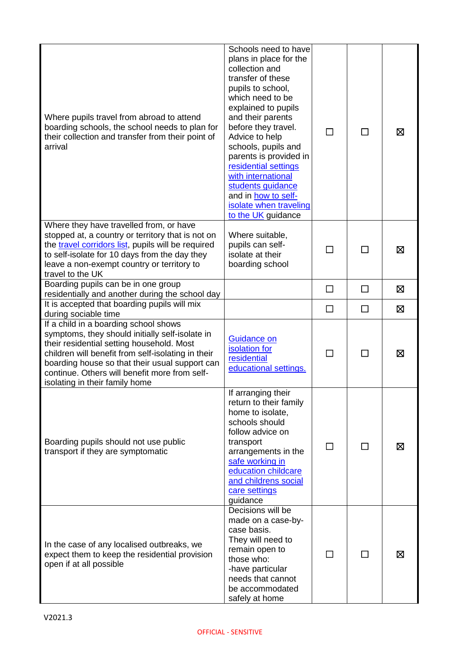| Where pupils travel from abroad to attend<br>boarding schools, the school needs to plan for<br>their collection and transfer from their point of<br>arrival                                                                                                                                                                      | Schools need to have<br>plans in place for the<br>collection and<br>transfer of these<br>pupils to school,<br>which need to be<br>explained to pupils<br>and their parents<br>before they travel.<br>Advice to help<br>schools, pupils and<br>parents is provided in<br>residential settings<br>with international<br>students guidance<br>and in how to self-<br>isolate when traveling<br>to the UK guidance |         | $\Box$ | ⊠ |
|----------------------------------------------------------------------------------------------------------------------------------------------------------------------------------------------------------------------------------------------------------------------------------------------------------------------------------|----------------------------------------------------------------------------------------------------------------------------------------------------------------------------------------------------------------------------------------------------------------------------------------------------------------------------------------------------------------------------------------------------------------|---------|--------|---|
| Where they have travelled from, or have<br>stopped at, a country or territory that is not on<br>the travel corridors list, pupils will be required<br>to self-isolate for 10 days from the day they<br>leave a non-exempt country or territory to<br>travel to the UK                                                            | Where suitable,<br>pupils can self-<br>isolate at their<br>boarding school                                                                                                                                                                                                                                                                                                                                     |         | П      | ⊠ |
| Boarding pupils can be in one group<br>residentially and another during the school day                                                                                                                                                                                                                                           |                                                                                                                                                                                                                                                                                                                                                                                                                | $\perp$ | □      | ⊠ |
| It is accepted that boarding pupils will mix<br>during sociable time                                                                                                                                                                                                                                                             |                                                                                                                                                                                                                                                                                                                                                                                                                | $\Box$  | □      | ⊠ |
| If a child in a boarding school shows<br>symptoms, they should initially self-isolate in<br>their residential setting household. Most<br>children will benefit from self-isolating in their<br>boarding house so that their usual support can<br>continue. Others will benefit more from self-<br>isolating in their family home | <b>Guidance on</b><br>isolation for<br>residential<br>educational settings.                                                                                                                                                                                                                                                                                                                                    | П       | $\Box$ | 区 |
| Boarding pupils should not use public<br>transport if they are symptomatic                                                                                                                                                                                                                                                       | If arranging their<br>return to their family<br>home to isolate,<br>schools should<br>follow advice on<br>transport<br>arrangements in the<br>safe working in<br>education childcare<br>and childrens social<br>care settings<br>guidance                                                                                                                                                                      | $\Box$  | ΙI     | ⊠ |
| In the case of any localised outbreaks, we<br>expect them to keep the residential provision<br>open if at all possible                                                                                                                                                                                                           | Decisions will be<br>made on a case-by-<br>case basis.<br>They will need to<br>remain open to<br>those who:<br>-have particular<br>needs that cannot<br>be accommodated<br>safely at home                                                                                                                                                                                                                      |         | ⊓      | ⊠ |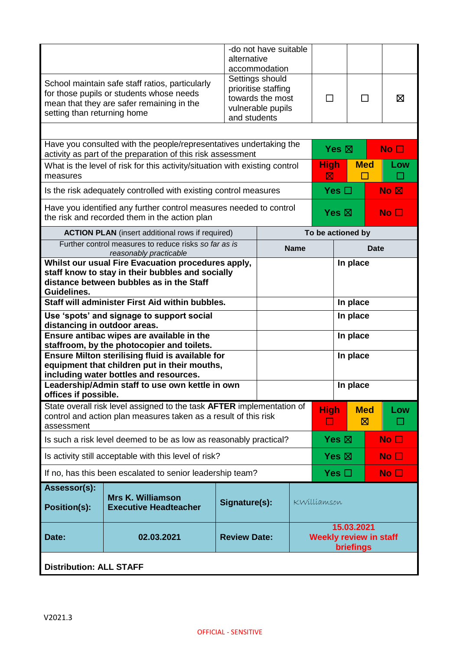|                                |                                                                                 |                     | -do not have suitable |             |                 |                               |              |                    |
|--------------------------------|---------------------------------------------------------------------------------|---------------------|-----------------------|-------------|-----------------|-------------------------------|--------------|--------------------|
|                                |                                                                                 | alternative         | accommodation         |             |                 |                               |              |                    |
|                                |                                                                                 |                     |                       |             |                 |                               |              |                    |
|                                | School maintain safe staff ratios, particularly                                 |                     | Settings should       |             |                 |                               |              |                    |
|                                | for those pupils or students whose needs                                        |                     | prioritise staffing   |             |                 |                               |              |                    |
|                                | mean that they are safer remaining in the                                       |                     | towards the most      |             | ΙI              |                               | ΙI           | ⊠                  |
| setting than returning home    |                                                                                 |                     | vulnerable pupils     |             |                 |                               |              |                    |
|                                |                                                                                 | and students        |                       |             |                 |                               |              |                    |
|                                |                                                                                 |                     |                       |             |                 |                               |              |                    |
|                                |                                                                                 |                     |                       |             |                 |                               |              |                    |
|                                | Have you consulted with the people/representatives undertaking the              |                     |                       |             |                 | Yes $\boxtimes$               |              | No $\square$       |
|                                | activity as part of the preparation of this risk assessment                     |                     |                       |             |                 |                               |              |                    |
|                                | What is the level of risk for this activity/situation with existing control     |                     |                       |             | <b>High</b>     |                               | <b>Med</b>   | Low                |
| measures                       |                                                                                 |                     |                       |             | ⊠               |                               |              |                    |
|                                |                                                                                 |                     |                       |             |                 |                               |              |                    |
|                                | Is the risk adequately controlled with existing control measures                |                     |                       |             |                 | Yes $\square$                 |              | $No \n  \boxtimes$ |
|                                | Have you identified any further control measures needed to control              |                     |                       |             |                 |                               |              |                    |
|                                |                                                                                 |                     |                       |             |                 | Yes $\boxtimes$               |              | $No$ $\square$     |
|                                | the risk and recorded them in the action plan                                   |                     |                       |             |                 |                               |              |                    |
|                                | <b>ACTION PLAN</b> (insert additional rows if required)                         |                     |                       |             |                 | To be actioned by             |              |                    |
|                                | Further control measures to reduce risks so far as is<br>reasonably practicable |                     |                       | <b>Name</b> |                 |                               | Date         |                    |
|                                | Whilst our usual Fire Evacuation procedures apply,                              |                     |                       |             |                 | In place                      |              |                    |
|                                | staff know to stay in their bubbles and socially                                |                     |                       |             |                 |                               |              |                    |
|                                |                                                                                 |                     |                       |             |                 |                               |              |                    |
|                                | distance between bubbles as in the Staff                                        |                     |                       |             |                 |                               |              |                    |
| Guidelines.                    |                                                                                 |                     |                       |             |                 |                               |              |                    |
|                                | Staff will administer First Aid within bubbles.                                 |                     |                       |             |                 | In place                      |              |                    |
| distancing in outdoor areas.   | Use 'spots' and signage to support social                                       |                     |                       |             | In place        |                               |              |                    |
|                                | Ensure antibac wipes are available in the                                       |                     |                       |             |                 |                               |              |                    |
|                                | staffroom, by the photocopier and toilets.                                      |                     |                       |             |                 | In place                      |              |                    |
|                                | Ensure Milton sterilising fluid is available for                                |                     |                       |             |                 | In place                      |              |                    |
|                                | equipment that children put in their mouths,                                    |                     |                       |             |                 |                               |              |                    |
|                                | including water bottles and resources.                                          |                     |                       |             |                 |                               |              |                    |
|                                | Leadership/Admin staff to use own kettle in own                                 |                     |                       |             |                 | In place                      |              |                    |
| offices if possible.           |                                                                                 |                     |                       |             |                 |                               |              |                    |
|                                | State overall risk level assigned to the task AFTER implementation of           |                     |                       |             |                 |                               | <b>Med</b>   | Low                |
|                                | control and action plan measures taken as a result of this risk                 |                     |                       |             | <b>High</b>     |                               |              |                    |
| assessment                     |                                                                                 |                     |                       |             | H               |                               | ⊠            |                    |
|                                |                                                                                 |                     |                       |             |                 |                               |              |                    |
|                                | Is such a risk level deemed to be as low as reasonably practical?               |                     |                       |             |                 | Yes $\boxtimes$               |              | No <sub>1</sub>    |
|                                | Is activity still acceptable with this level of risk?                           |                     |                       |             | Yes $\boxtimes$ |                               | No $\square$ |                    |
|                                | If no, has this been escalated to senior leadership team?                       |                     |                       |             |                 | Yes $\square$                 |              | No $\square$       |
| Assessor(s):                   |                                                                                 |                     |                       |             |                 |                               |              |                    |
|                                | <b>Mrs K. Williamson</b>                                                        |                     |                       |             |                 |                               |              |                    |
| <b>Position(s):</b>            | <b>Executive Headteacher</b>                                                    | Signature(s):       |                       |             | KWilliamson     |                               |              |                    |
|                                |                                                                                 |                     |                       |             |                 |                               |              |                    |
|                                |                                                                                 |                     |                       |             |                 |                               |              |                    |
|                                |                                                                                 |                     |                       |             |                 | 15.03.2021                    |              |                    |
| Date:                          | 02.03.2021                                                                      | <b>Review Date:</b> |                       |             |                 | <b>Weekly review in staff</b> |              |                    |
|                                |                                                                                 |                     |                       |             |                 | briefings                     |              |                    |
| <b>Distribution: ALL STAFF</b> |                                                                                 |                     |                       |             |                 |                               |              |                    |
|                                |                                                                                 |                     |                       |             |                 |                               |              |                    |